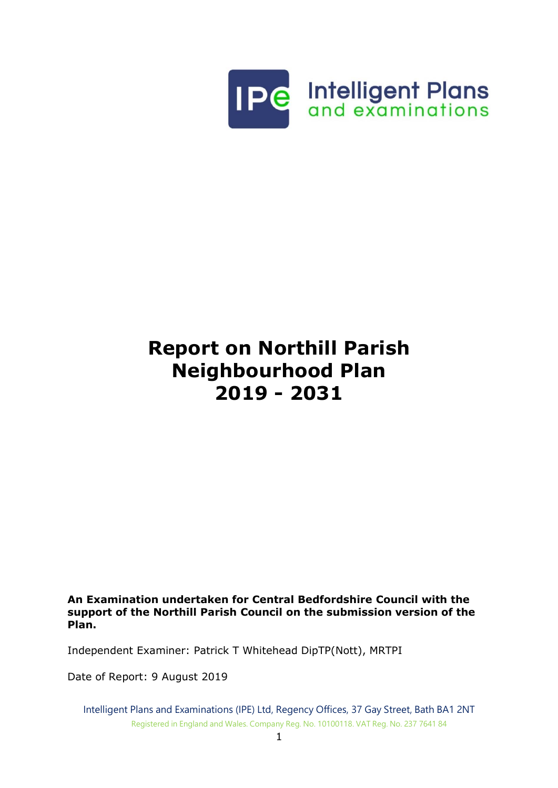

# **Report on Northill Parish Neighbourhood Plan 2019 - 2031**

**An Examination undertaken for Central Bedfordshire Council with the support of the Northill Parish Council on the submission version of the Plan.**

Independent Examiner: Patrick T Whitehead DipTP(Nott), MRTPI

Date of Report: 9 August 2019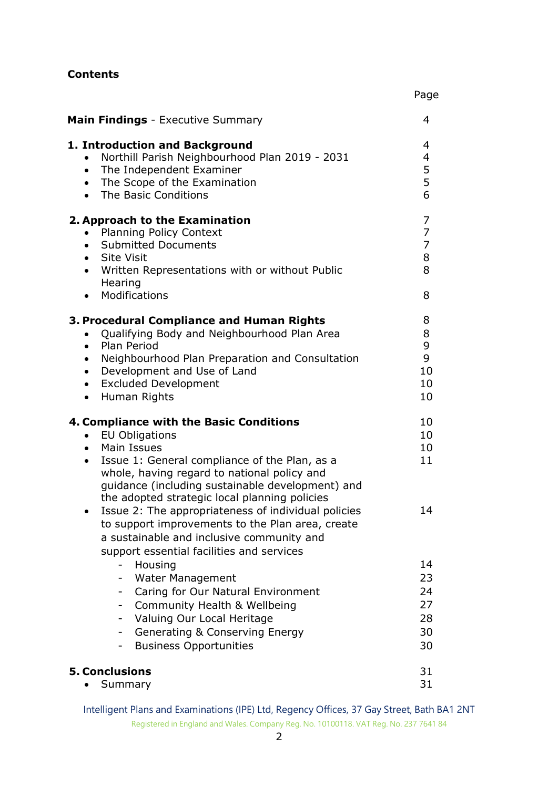#### **Contents**

| <b>Main Findings</b> - Executive Summary                                                                                                                                                                                                                                                                                                                                                                                                                                                                                 | 4                                                    |
|--------------------------------------------------------------------------------------------------------------------------------------------------------------------------------------------------------------------------------------------------------------------------------------------------------------------------------------------------------------------------------------------------------------------------------------------------------------------------------------------------------------------------|------------------------------------------------------|
| 1. Introduction and Background<br>Northill Parish Neighbourhood Plan 2019 - 2031<br>The Independent Examiner<br>$\bullet$<br>The Scope of the Examination<br>$\bullet$<br>The Basic Conditions<br>$\bullet$                                                                                                                                                                                                                                                                                                              | 4<br>4<br>5<br>5<br>6                                |
| 2. Approach to the Examination<br><b>Planning Policy Context</b><br><b>Submitted Documents</b><br>$\bullet$<br>• Site Visit<br>Written Representations with or without Public<br>$\bullet$<br>Hearing<br>Modifications                                                                                                                                                                                                                                                                                                   | 7<br>$\overline{7}$<br>$\overline{7}$<br>8<br>8<br>8 |
| 3. Procedural Compliance and Human Rights<br>Qualifying Body and Neighbourhood Plan Area<br>Plan Period<br>$\bullet$<br>Neighbourhood Plan Preparation and Consultation<br>$\bullet$<br>Development and Use of Land<br>$\bullet$<br><b>Excluded Development</b><br>$\bullet$<br>Human Rights<br>$\bullet$                                                                                                                                                                                                                | 8<br>8<br>9<br>9<br>10<br>10<br>10                   |
| 4. Compliance with the Basic Conditions<br><b>EU Obligations</b><br>Main Issues<br>$\bullet$<br>Issue 1: General compliance of the Plan, as a<br>$\bullet$<br>whole, having regard to national policy and<br>guidance (including sustainable development) and<br>the adopted strategic local planning policies<br>Issue 2: The appropriateness of individual policies<br>٠<br>to support improvements to the Plan area, create<br>a sustainable and inclusive community and<br>support essential facilities and services | 10<br>10<br>10<br>11<br>14                           |
| Housing<br><b>Water Management</b><br>Caring for Our Natural Environment<br>Community Health & Wellbeing<br>۰<br>Valuing Our Local Heritage<br>۰<br><b>Generating &amp; Conserving Energy</b><br><b>Business Opportunities</b><br>۰.                                                                                                                                                                                                                                                                                     | 14<br>23<br>24<br>27<br>28<br>30<br>30               |
| <b>5. Conclusions</b><br>Summary                                                                                                                                                                                                                                                                                                                                                                                                                                                                                         | 31<br>31                                             |

Page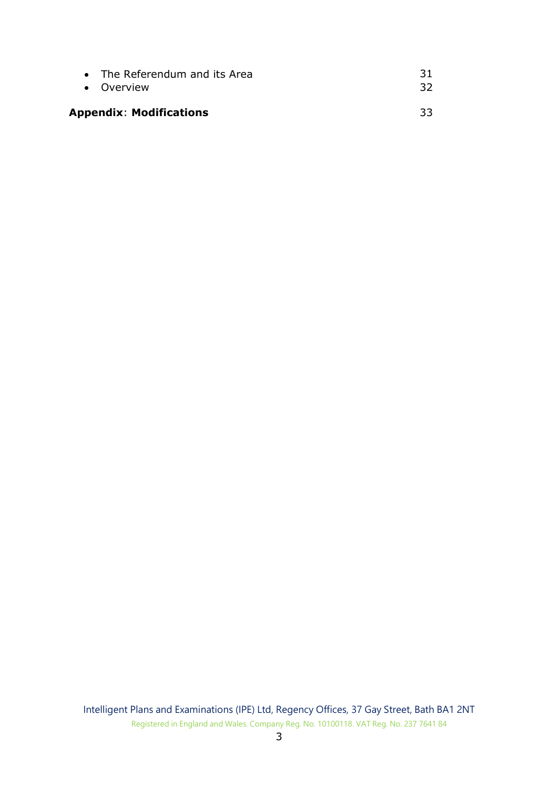| • The Referendum and its Area  | -31 |
|--------------------------------|-----|
| • Overview                     | -32 |
| <b>Appendix: Modifications</b> | 33  |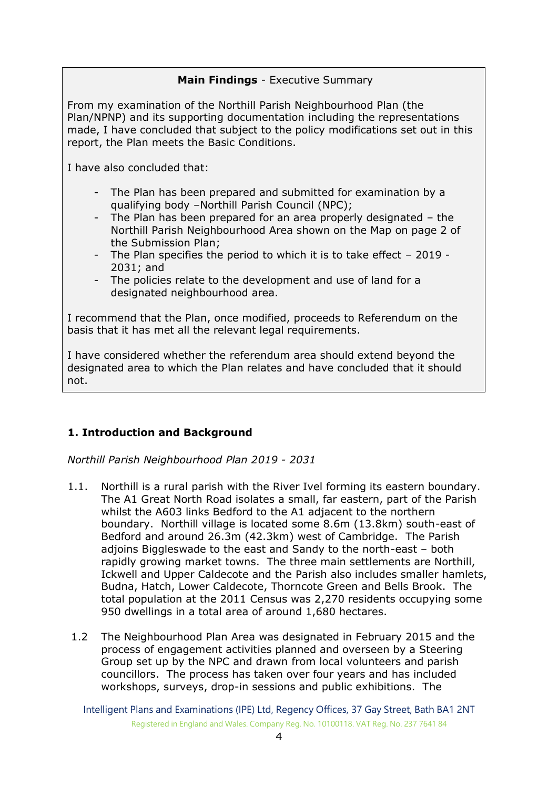#### **Main Findings** - Executive Summary

From my examination of the Northill Parish Neighbourhood Plan (the Plan/NPNP) and its supporting documentation including the representations made, I have concluded that subject to the policy modifications set out in this report, the Plan meets the Basic Conditions.

I have also concluded that:

- The Plan has been prepared and submitted for examination by a qualifying body –Northill Parish Council (NPC);
- The Plan has been prepared for an area properly designated the Northill Parish Neighbourhood Area shown on the Map on page 2 of the Submission Plan;
- The Plan specifies the period to which it is to take effect 2019 2031; and
- The policies relate to the development and use of land for a designated neighbourhood area.

I recommend that the Plan, once modified, proceeds to Referendum on the basis that it has met all the relevant legal requirements.

I have considered whether the referendum area should extend beyond the designated area to which the Plan relates and have concluded that it should not.

## **1. Introduction and Background**

*Northill Parish Neighbourhood Plan 2019 - 2031*

- 1.1. Northill is a rural parish with the River Ivel forming its eastern boundary. The A1 Great North Road isolates a small, far eastern, part of the Parish whilst the A603 links Bedford to the A1 adjacent to the northern boundary. Northill village is located some 8.6m (13.8km) south-east of Bedford and around 26.3m (42.3km) west of Cambridge. The Parish adjoins Biggleswade to the east and Sandy to the north-east – both rapidly growing market towns. The three main settlements are Northill, Ickwell and Upper Caldecote and the Parish also includes smaller hamlets, Budna, Hatch, Lower Caldecote, Thorncote Green and Bells Brook. The total population at the 2011 Census was 2,270 residents occupying some 950 dwellings in a total area of around 1,680 hectares.
- 1.2 The Neighbourhood Plan Area was designated in February 2015 and the process of engagement activities planned and overseen by a Steering Group set up by the NPC and drawn from local volunteers and parish councillors. The process has taken over four years and has included workshops, surveys, drop-in sessions and public exhibitions. The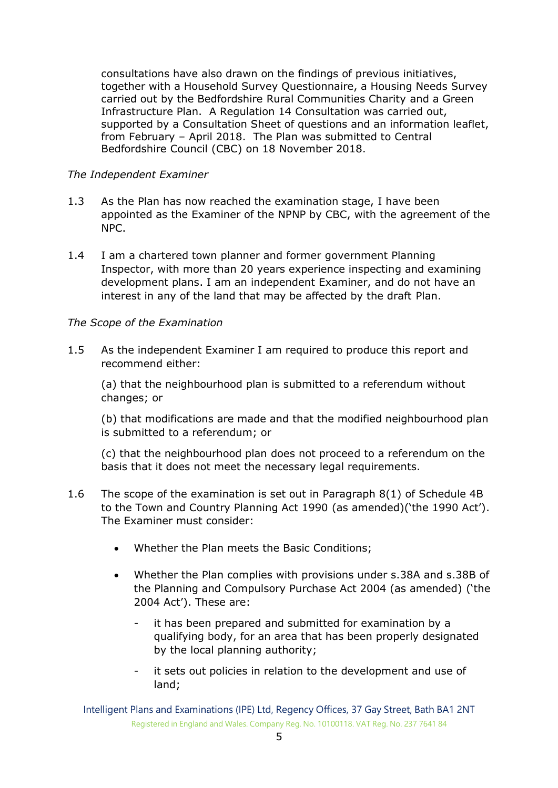consultations have also drawn on the findings of previous initiatives, together with a Household Survey Questionnaire, a Housing Needs Survey carried out by the Bedfordshire Rural Communities Charity and a Green Infrastructure Plan. A Regulation 14 Consultation was carried out, supported by a Consultation Sheet of questions and an information leaflet, from February – April 2018. The Plan was submitted to Central Bedfordshire Council (CBC) on 18 November 2018.

#### *The Independent Examiner*

- 1.3 As the Plan has now reached the examination stage, I have been appointed as the Examiner of the NPNP by CBC, with the agreement of the NPC.
- 1.4 I am a chartered town planner and former government Planning Inspector, with more than 20 years experience inspecting and examining development plans. I am an independent Examiner, and do not have an interest in any of the land that may be affected by the draft Plan.

### *The Scope of the Examination*

1.5 As the independent Examiner I am required to produce this report and recommend either:

(a) that the neighbourhood plan is submitted to a referendum without changes; or

(b) that modifications are made and that the modified neighbourhood plan is submitted to a referendum; or

(c) that the neighbourhood plan does not proceed to a referendum on the basis that it does not meet the necessary legal requirements.

- 1.6 The scope of the examination is set out in Paragraph 8(1) of Schedule 4B to the Town and Country Planning Act 1990 (as amended)('the 1990 Act'). The Examiner must consider:
	- Whether the Plan meets the Basic Conditions;
	- Whether the Plan complies with provisions under s.38A and s.38B of the Planning and Compulsory Purchase Act 2004 (as amended) ('the 2004 Act'). These are:
		- it has been prepared and submitted for examination by a qualifying body, for an area that has been properly designated by the local planning authority;
		- it sets out policies in relation to the development and use of land;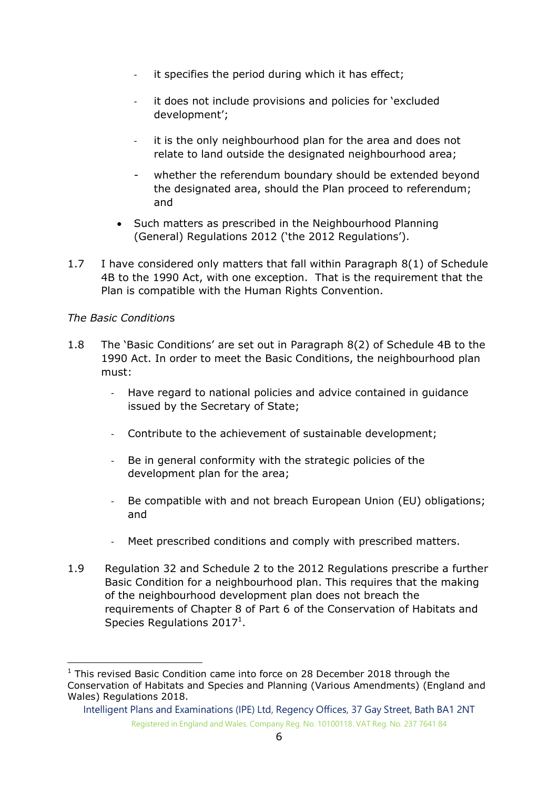- it specifies the period during which it has effect;
- it does not include provisions and policies for 'excluded development';
- it is the only neighbourhood plan for the area and does not relate to land outside the designated neighbourhood area;
- whether the referendum boundary should be extended beyond the designated area, should the Plan proceed to referendum; and
- Such matters as prescribed in the Neighbourhood Planning (General) Regulations 2012 ('the 2012 Regulations').
- 1.7 I have considered only matters that fall within Paragraph 8(1) of Schedule 4B to the 1990 Act, with one exception. That is the requirement that the Plan is compatible with the Human Rights Convention.

#### *The Basic Condition*s

-

- 1.8 The 'Basic Conditions' are set out in Paragraph 8(2) of Schedule 4B to the 1990 Act. In order to meet the Basic Conditions, the neighbourhood plan must:
	- Have regard to national policies and advice contained in guidance issued by the Secretary of State;
	- Contribute to the achievement of sustainable development;
	- Be in general conformity with the strategic policies of the development plan for the area;
	- Be compatible with and not breach European Union (EU) obligations; and
	- Meet prescribed conditions and comply with prescribed matters.
- 1.9 Regulation 32 and Schedule 2 to the 2012 Regulations prescribe a further Basic Condition for a neighbourhood plan. This requires that the making of the neighbourhood development plan does not breach the requirements of Chapter 8 of Part 6 of the Conservation of Habitats and Species Regulations 2017<sup>1</sup>.

 $1$  This revised Basic Condition came into force on 28 December 2018 through the Conservation of Habitats and Species and Planning (Various Amendments) (England and Wales) Regulations 2018.

Intelligent Plans and Examinations (IPE) Ltd, Regency Offices, 37 Gay Street, Bath BA1 2NT Registered in England and Wales. Company Reg. No. 10100118. VAT Reg. No. 237 7641 84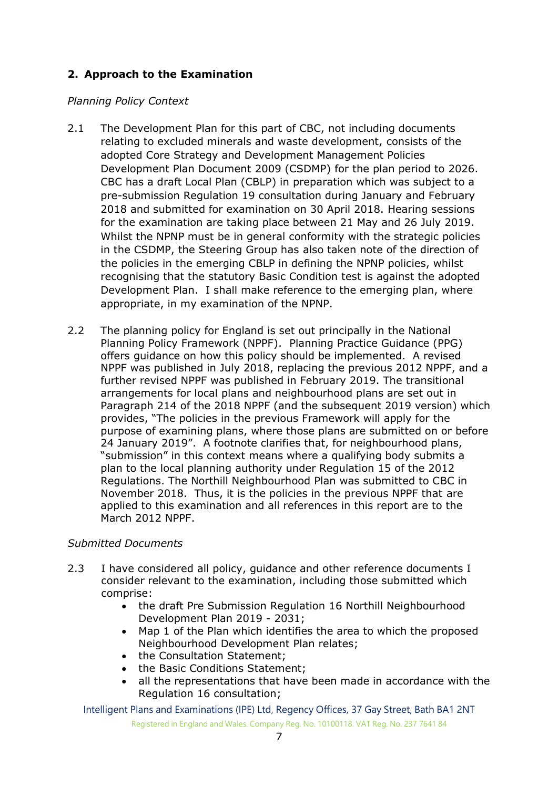## **2. Approach to the Examination**

#### *Planning Policy Context*

- 2.1 The Development Plan for this part of CBC, not including documents relating to excluded minerals and waste development, consists of the adopted Core Strategy and Development Management Policies Development Plan Document 2009 (CSDMP) for the plan period to 2026. CBC has a draft Local Plan (CBLP) in preparation which was subject to a pre-submission Regulation 19 consultation during January and February 2018 and submitted for examination on 30 April 2018. Hearing sessions for the examination are taking place between 21 May and 26 July 2019. Whilst the NPNP must be in general conformity with the strategic policies in the CSDMP, the Steering Group has also taken note of the direction of the policies in the emerging CBLP in defining the NPNP policies, whilst recognising that the statutory Basic Condition test is against the adopted Development Plan. I shall make reference to the emerging plan, where appropriate, in my examination of the NPNP.
- 2.2 The planning policy for England is set out principally in the National Planning Policy Framework (NPPF). Planning Practice Guidance (PPG) offers guidance on how this policy should be implemented. A revised NPPF was published in July 2018, replacing the previous 2012 NPPF, and a further revised NPPF was published in February 2019. The transitional arrangements for local plans and neighbourhood plans are set out in Paragraph 214 of the 2018 NPPF (and the subsequent 2019 version) which provides, "The policies in the previous Framework will apply for the purpose of examining plans, where those plans are submitted on or before 24 January 2019". A footnote clarifies that, for neighbourhood plans, "submission" in this context means where a qualifying body submits a plan to the local planning authority under Regulation 15 of the 2012 Regulations. The Northill Neighbourhood Plan was submitted to CBC in November 2018. Thus, it is the policies in the previous NPPF that are applied to this examination and all references in this report are to the March 2012 NPPF.

#### *Submitted Documents*

- 2.3 I have considered all policy, guidance and other reference documents I consider relevant to the examination, including those submitted which comprise:
	- the draft Pre Submission Regulation 16 Northill Neighbourhood Development Plan 2019 - 2031;
	- Map 1 of the Plan which identifies the area to which the proposed Neighbourhood Development Plan relates;
	- the Consultation Statement;
	- the Basic Conditions Statement;
	- all the representations that have been made in accordance with the Regulation 16 consultation;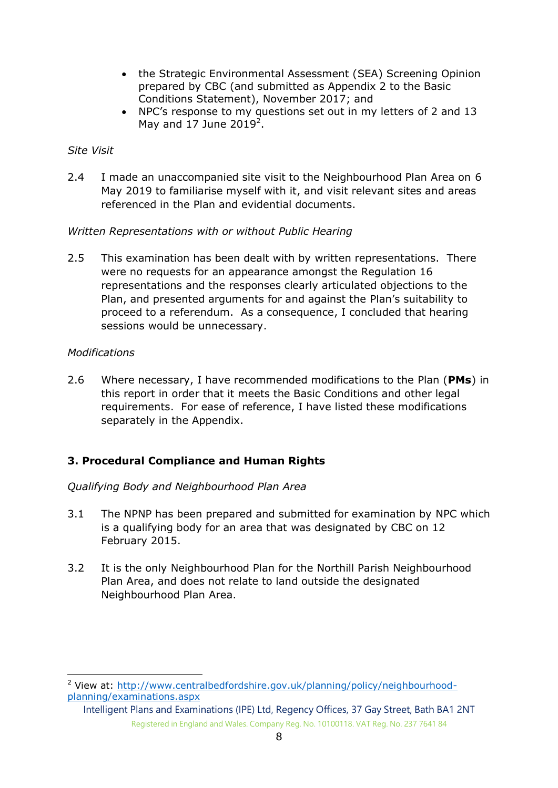- the Strategic Environmental Assessment (SEA) Screening Opinion prepared by CBC (and submitted as Appendix 2 to the Basic Conditions Statement), November 2017; and
- NPC's response to my questions set out in my letters of 2 and 13 May and 17 June  $2019^2$ .

#### *Site Visit*

2.4 I made an unaccompanied site visit to the Neighbourhood Plan Area on 6 May 2019 to familiarise myself with it, and visit relevant sites and areas referenced in the Plan and evidential documents.

### *Written Representations with or without Public Hearing*

2.5 This examination has been dealt with by written representations. There were no requests for an appearance amongst the Regulation 16 representations and the responses clearly articulated objections to the Plan, and presented arguments for and against the Plan's suitability to proceed to a referendum. As a consequence, I concluded that hearing sessions would be unnecessary.

### *Modifications*

2.6 Where necessary, I have recommended modifications to the Plan (**PMs**) in this report in order that it meets the Basic Conditions and other legal requirements. For ease of reference, I have listed these modifications separately in the Appendix.

## **3. Procedural Compliance and Human Rights**

#### *Qualifying Body and Neighbourhood Plan Area*

- 3.1 The NPNP has been prepared and submitted for examination by NPC which is a qualifying body for an area that was designated by CBC on 12 February 2015.
- 3.2 It is the only Neighbourhood Plan for the Northill Parish Neighbourhood Plan Area, and does not relate to land outside the designated Neighbourhood Plan Area.

<sup>2</sup> View at: [http://www.centralbedfordshire.gov.uk/planning/policy/neighbourhood](http://www.centralbedfordshire.gov.uk/planning/policy/neighbourhood-planning/examinations.aspx)[planning/examinations.aspx](http://www.centralbedfordshire.gov.uk/planning/policy/neighbourhood-planning/examinations.aspx)

Intelligent Plans and Examinations (IPE) Ltd, Regency Offices, 37 Gay Street, Bath BA1 2NT Registered in England and Wales. Company Reg. No. 10100118. VAT Reg. No. 237 7641 84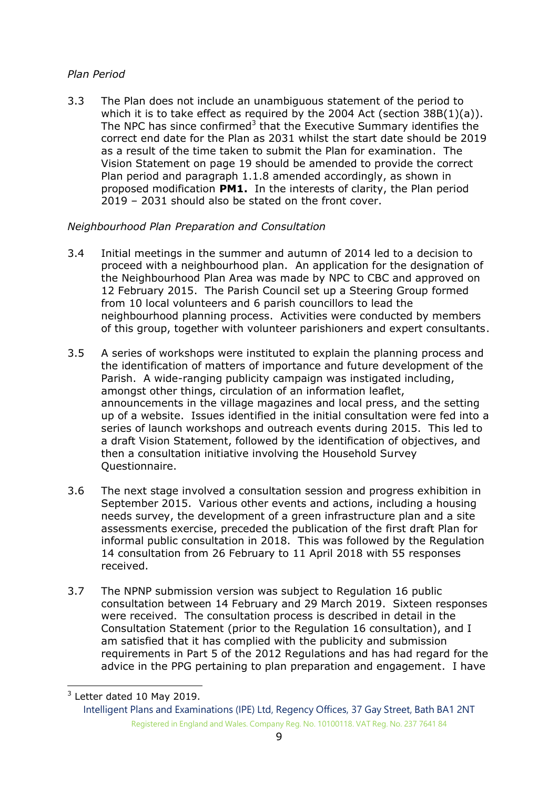## *Plan Period*

3.3 The Plan does not include an unambiguous statement of the period to which it is to take effect as required by the 2004 Act (section 38B(1)(a)). The NPC has since confirmed<sup>3</sup> that the Executive Summary identifies the correct end date for the Plan as 2031 whilst the start date should be 2019 as a result of the time taken to submit the Plan for examination. The Vision Statement on page 19 should be amended to provide the correct Plan period and paragraph 1.1.8 amended accordingly, as shown in proposed modification **PM1.** In the interests of clarity, the Plan period 2019 – 2031 should also be stated on the front cover.

### *Neighbourhood Plan Preparation and Consultation*

- 3.4 Initial meetings in the summer and autumn of 2014 led to a decision to proceed with a neighbourhood plan. An application for the designation of the Neighbourhood Plan Area was made by NPC to CBC and approved on 12 February 2015. The Parish Council set up a Steering Group formed from 10 local volunteers and 6 parish councillors to lead the neighbourhood planning process. Activities were conducted by members of this group, together with volunteer parishioners and expert consultants.
- 3.5 A series of workshops were instituted to explain the planning process and the identification of matters of importance and future development of the Parish. A wide-ranging publicity campaign was instigated including, amongst other things, circulation of an information leaflet, announcements in the village magazines and local press, and the setting up of a website. Issues identified in the initial consultation were fed into a series of launch workshops and outreach events during 2015. This led to a draft Vision Statement, followed by the identification of objectives, and then a consultation initiative involving the Household Survey Questionnaire.
- 3.6 The next stage involved a consultation session and progress exhibition in September 2015. Various other events and actions, including a housing needs survey, the development of a green infrastructure plan and a site assessments exercise, preceded the publication of the first draft Plan for informal public consultation in 2018. This was followed by the Regulation 14 consultation from 26 February to 11 April 2018 with 55 responses received.
- 3.7 The NPNP submission version was subject to Regulation 16 public consultation between 14 February and 29 March 2019. Sixteen responses were received. The consultation process is described in detail in the Consultation Statement (prior to the Regulation 16 consultation), and I am satisfied that it has complied with the publicity and submission requirements in Part 5 of the 2012 Regulations and has had regard for the advice in the PPG pertaining to plan preparation and engagement. I have

-

 $3$  Letter dated 10 May 2019.

Intelligent Plans and Examinations (IPE) Ltd, Regency Offices, 37 Gay Street, Bath BA1 2NT Registered in England and Wales. Company Reg. No. 10100118. VAT Reg. No. 237 7641 84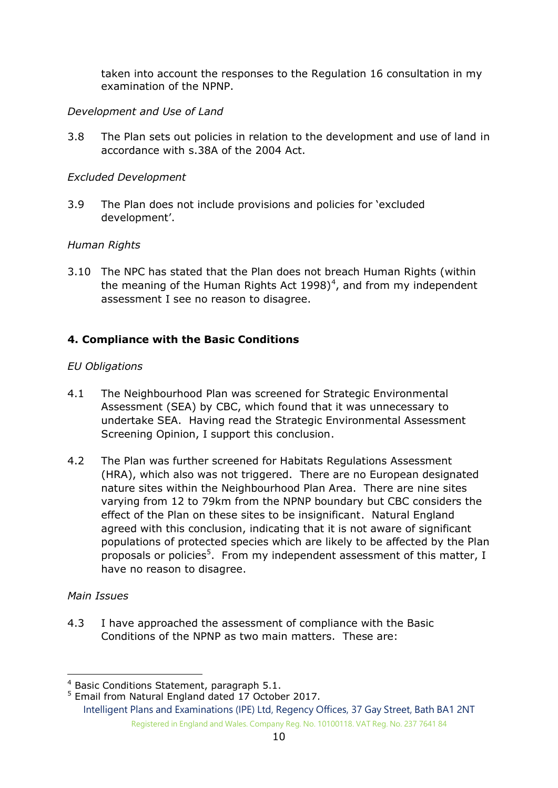taken into account the responses to the Regulation 16 consultation in my examination of the NPNP.

## *Development and Use of Land*

3.8 The Plan sets out policies in relation to the development and use of land in accordance with s.38A of the 2004 Act.

#### *Excluded Development*

3.9 The Plan does not include provisions and policies for 'excluded development'.

### *Human Rights*

3.10 The NPC has stated that the Plan does not breach Human Rights (within the meaning of the Human Rights Act 1998)<sup>4</sup>, and from my independent assessment I see no reason to disagree.

## **4. Compliance with the Basic Conditions**

#### *EU Obligations*

- 4.1 The Neighbourhood Plan was screened for Strategic Environmental Assessment (SEA) by CBC, which found that it was unnecessary to undertake SEA. Having read the Strategic Environmental Assessment Screening Opinion, I support this conclusion.
- 4.2 The Plan was further screened for Habitats Regulations Assessment (HRA), which also was not triggered. There are no European designated nature sites within the Neighbourhood Plan Area. There are nine sites varying from 12 to 79km from the NPNP boundary but CBC considers the effect of the Plan on these sites to be insignificant. Natural England agreed with this conclusion, indicating that it is not aware of significant populations of protected species which are likely to be affected by the Plan proposals or policies<sup>5</sup>. From my independent assessment of this matter, I have no reason to disagree.

#### *Main Issues*

-

4.3 I have approached the assessment of compliance with the Basic Conditions of the NPNP as two main matters. These are:

 $4$  Basic Conditions Statement, paragraph 5.1.

Intelligent Plans and Examinations (IPE) Ltd, Regency Offices, 37 Gay Street, Bath BA1 2NT Registered in England and Wales. Company Reg. No. 10100118. VAT Reg. No. 237 7641 84 <sup>5</sup> Email from Natural England dated 17 October 2017.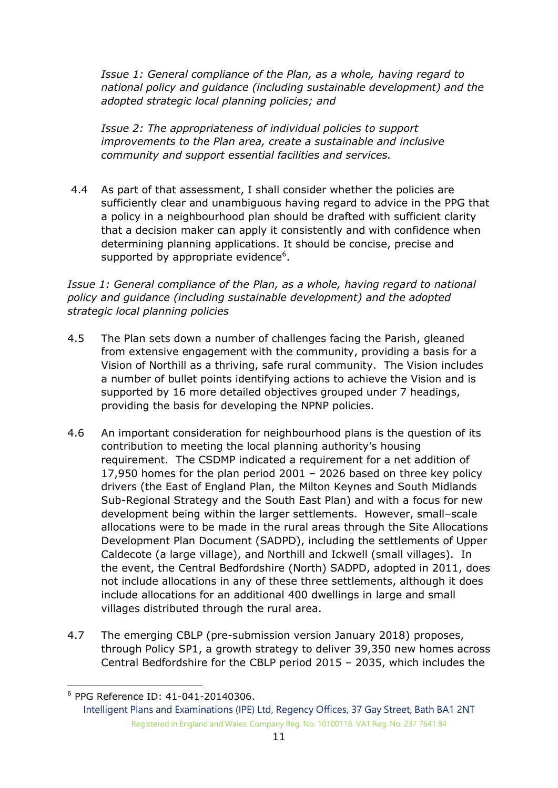*Issue 1: General compliance of the Plan, as a whole, having regard to national policy and guidance (including sustainable development) and the adopted strategic local planning policies; and*

*Issue 2: The appropriateness of individual policies to support improvements to the Plan area, create a sustainable and inclusive community and support essential facilities and services.*

4.4 As part of that assessment, I shall consider whether the policies are sufficiently clear and unambiguous having regard to advice in the PPG that a policy in a neighbourhood plan should be drafted with sufficient clarity that a decision maker can apply it consistently and with confidence when determining planning applications. It should be concise, precise and supported by appropriate evidence $6$ .

*Issue 1: General compliance of the Plan, as a whole, having regard to national policy and guidance (including sustainable development) and the adopted strategic local planning policies*

- 4.5 The Plan sets down a number of challenges facing the Parish, gleaned from extensive engagement with the community, providing a basis for a Vision of Northill as a thriving, safe rural community. The Vision includes a number of bullet points identifying actions to achieve the Vision and is supported by 16 more detailed objectives grouped under 7 headings, providing the basis for developing the NPNP policies.
- 4.6 An important consideration for neighbourhood plans is the question of its contribution to meeting the local planning authority's housing requirement. The CSDMP indicated a requirement for a net addition of 17,950 homes for the plan period 2001 – 2026 based on three key policy drivers (the East of England Plan, the Milton Keynes and South Midlands Sub-Regional Strategy and the South East Plan) and with a focus for new development being within the larger settlements. However, small–scale allocations were to be made in the rural areas through the Site Allocations Development Plan Document (SADPD), including the settlements of Upper Caldecote (a large village), and Northill and Ickwell (small villages). In the event, the Central Bedfordshire (North) SADPD, adopted in 2011, does not include allocations in any of these three settlements, although it does include allocations for an additional 400 dwellings in large and small villages distributed through the rural area.
- 4.7 The emerging CBLP (pre-submission version January 2018) proposes, through Policy SP1, a growth strategy to deliver 39,350 new homes across Central Bedfordshire for the CBLP period 2015 – 2035, which includes the

<sup>-</sup>6 PPG Reference ID: 41-041-20140306.

Intelligent Plans and Examinations (IPE) Ltd, Regency Offices, 37 Gay Street, Bath BA1 2NT Registered in England and Wales. Company Reg. No. 10100118. VAT Reg. No. 237 7641 84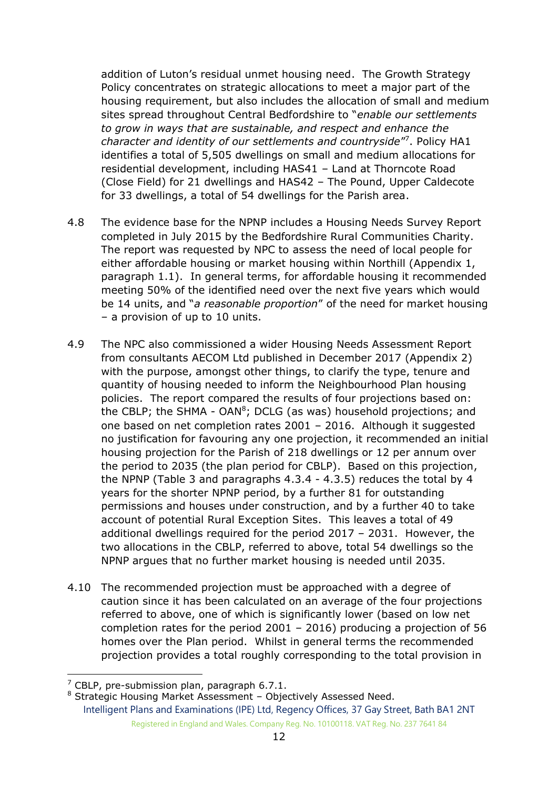addition of Luton's residual unmet housing need. The Growth Strategy Policy concentrates on strategic allocations to meet a major part of the housing requirement, but also includes the allocation of small and medium sites spread throughout Central Bedfordshire to "*enable our settlements to grow in ways that are sustainable, and respect and enhance the*  character and identity of our settlements and countryside"<sup>7</sup>. Policy HA1 identifies a total of 5,505 dwellings on small and medium allocations for residential development, including HAS41 – Land at Thorncote Road (Close Field) for 21 dwellings and HAS42 – The Pound, Upper Caldecote for 33 dwellings, a total of 54 dwellings for the Parish area.

- 4.8 The evidence base for the NPNP includes a Housing Needs Survey Report completed in July 2015 by the Bedfordshire Rural Communities Charity. The report was requested by NPC to assess the need of local people for either affordable housing or market housing within Northill (Appendix 1, paragraph 1.1). In general terms, for affordable housing it recommended meeting 50% of the identified need over the next five years which would be 14 units, and "*a reasonable proportion*" of the need for market housing – a provision of up to 10 units.
- 4.9 The NPC also commissioned a wider Housing Needs Assessment Report from consultants AECOM Ltd published in December 2017 (Appendix 2) with the purpose, amongst other things, to clarify the type, tenure and quantity of housing needed to inform the Neighbourhood Plan housing policies. The report compared the results of four projections based on: the CBLP; the SHMA - OAN<sup>8</sup>; DCLG (as was) household projections; and one based on net completion rates 2001 – 2016. Although it suggested no justification for favouring any one projection, it recommended an initial housing projection for the Parish of 218 dwellings or 12 per annum over the period to 2035 (the plan period for CBLP). Based on this projection, the NPNP (Table 3 and paragraphs 4.3.4 - 4.3.5) reduces the total by 4 years for the shorter NPNP period, by a further 81 for outstanding permissions and houses under construction, and by a further 40 to take account of potential Rural Exception Sites. This leaves a total of 49 additional dwellings required for the period 2017 – 2031. However, the two allocations in the CBLP, referred to above, total 54 dwellings so the NPNP argues that no further market housing is needed until 2035.
- 4.10 The recommended projection must be approached with a degree of caution since it has been calculated on an average of the four projections referred to above, one of which is significantly lower (based on low net completion rates for the period 2001 – 2016) producing a projection of 56 homes over the Plan period. Whilst in general terms the recommended projection provides a total roughly corresponding to the total provision in

-

Intelligent Plans and Examinations (IPE) Ltd, Regency Offices, 37 Gay Street, Bath BA1 2NT Registered in England and Wales. Company Reg. No. 10100118. VAT Reg. No. 237 7641 84 <sup>8</sup> Strategic Housing Market Assessment – Objectively Assessed Need.

 $<sup>7</sup>$  CBLP, pre-submission plan, paragraph 6.7.1.</sup>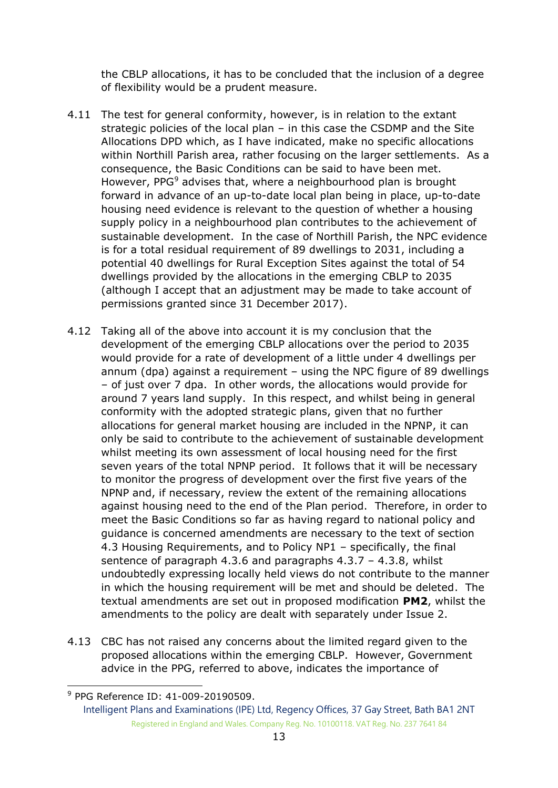the CBLP allocations, it has to be concluded that the inclusion of a degree of flexibility would be a prudent measure.

- 4.11 The test for general conformity, however, is in relation to the extant strategic policies of the local plan – in this case the CSDMP and the Site Allocations DPD which, as I have indicated, make no specific allocations within Northill Parish area, rather focusing on the larger settlements. As a consequence, the Basic Conditions can be said to have been met. However, PPG<sup>9</sup> advises that, where a neighbourhood plan is brought forward in advance of an up-to-date local plan being in place, up-to-date housing need evidence is relevant to the question of whether a housing supply policy in a neighbourhood plan contributes to the achievement of sustainable development. In the case of Northill Parish, the NPC evidence is for a total residual requirement of 89 dwellings to 2031, including a potential 40 dwellings for Rural Exception Sites against the total of 54 dwellings provided by the allocations in the emerging CBLP to 2035 (although I accept that an adjustment may be made to take account of permissions granted since 31 December 2017).
- 4.12 Taking all of the above into account it is my conclusion that the development of the emerging CBLP allocations over the period to 2035 would provide for a rate of development of a little under 4 dwellings per annum (dpa) against a requirement – using the NPC figure of 89 dwellings – of just over 7 dpa. In other words, the allocations would provide for around 7 years land supply. In this respect, and whilst being in general conformity with the adopted strategic plans, given that no further allocations for general market housing are included in the NPNP, it can only be said to contribute to the achievement of sustainable development whilst meeting its own assessment of local housing need for the first seven years of the total NPNP period. It follows that it will be necessary to monitor the progress of development over the first five years of the NPNP and, if necessary, review the extent of the remaining allocations against housing need to the end of the Plan period. Therefore, in order to meet the Basic Conditions so far as having regard to national policy and guidance is concerned amendments are necessary to the text of section 4.3 Housing Requirements, and to Policy NP1 – specifically, the final sentence of paragraph 4.3.6 and paragraphs 4.3.7 – 4.3.8, whilst undoubtedly expressing locally held views do not contribute to the manner in which the housing requirement will be met and should be deleted. The textual amendments are set out in proposed modification **PM2**, whilst the amendments to the policy are dealt with separately under Issue 2.
- 4.13 CBC has not raised any concerns about the limited regard given to the proposed allocations within the emerging CBLP. However, Government advice in the PPG, referred to above, indicates the importance of

-

<sup>9</sup> PPG Reference ID: 41-009-20190509.

Intelligent Plans and Examinations (IPE) Ltd, Regency Offices, 37 Gay Street, Bath BA1 2NT Registered in England and Wales. Company Reg. No. 10100118. VAT Reg. No. 237 7641 84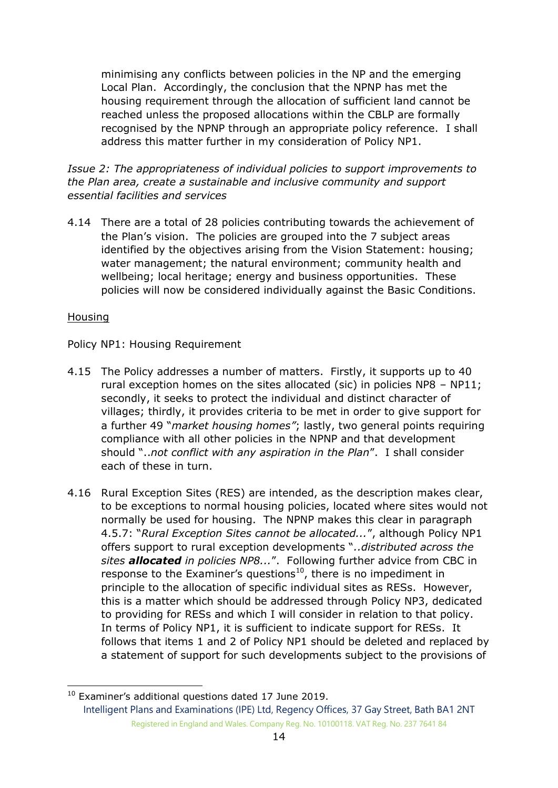minimising any conflicts between policies in the NP and the emerging Local Plan. Accordingly, the conclusion that the NPNP has met the housing requirement through the allocation of sufficient land cannot be reached unless the proposed allocations within the CBLP are formally recognised by the NPNP through an appropriate policy reference. I shall address this matter further in my consideration of Policy NP1.

*Issue 2: The appropriateness of individual policies to support improvements to the Plan area, create a sustainable and inclusive community and support essential facilities and services*

4.14 There are a total of 28 policies contributing towards the achievement of the Plan's vision. The policies are grouped into the 7 subject areas identified by the objectives arising from the Vision Statement: housing; water management; the natural environment; community health and wellbeing; local heritage; energy and business opportunities. These policies will now be considered individually against the Basic Conditions.

#### Housing

-

Policy NP1: Housing Requirement

- 4.15 The Policy addresses a number of matters. Firstly, it supports up to 40 rural exception homes on the sites allocated (sic) in policies NP8 – NP11; secondly, it seeks to protect the individual and distinct character of villages; thirdly, it provides criteria to be met in order to give support for a further 49 "*market housing homes"*; lastly, two general points requiring compliance with all other policies in the NPNP and that development should "..*not conflict with any aspiration in the Plan*". I shall consider each of these in turn.
- 4.16 Rural Exception Sites (RES) are intended, as the description makes clear, to be exceptions to normal housing policies, located where sites would not normally be used for housing. The NPNP makes this clear in paragraph 4.5.7: "*Rural Exception Sites cannot be allocated...*", although Policy NP1 offers support to rural exception developments "*..distributed across the sites allocated in policies NP8...*". Following further advice from CBC in response to the Examiner's questions<sup>10</sup>, there is no impediment in principle to the allocation of specific individual sites as RESs. However, this is a matter which should be addressed through Policy NP3, dedicated to providing for RESs and which I will consider in relation to that policy. In terms of Policy NP1, it is sufficient to indicate support for RESs. It follows that items 1 and 2 of Policy NP1 should be deleted and replaced by a statement of support for such developments subject to the provisions of

Intelligent Plans and Examinations (IPE) Ltd, Regency Offices, 37 Gay Street, Bath BA1 2NT Registered in England and Wales. Company Reg. No. 10100118. VAT Reg. No. 237 7641 84 <sup>10</sup> Examiner's additional questions dated 17 June 2019.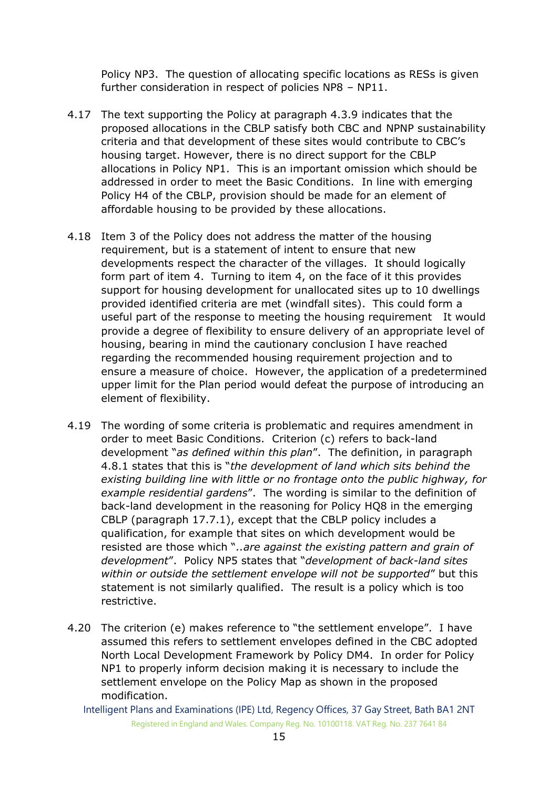Policy NP3. The question of allocating specific locations as RESs is given further consideration in respect of policies NP8 – NP11.

- 4.17 The text supporting the Policy at paragraph 4.3.9 indicates that the proposed allocations in the CBLP satisfy both CBC and NPNP sustainability criteria and that development of these sites would contribute to CBC's housing target. However, there is no direct support for the CBLP allocations in Policy NP1. This is an important omission which should be addressed in order to meet the Basic Conditions. In line with emerging Policy H4 of the CBLP, provision should be made for an element of affordable housing to be provided by these allocations.
- 4.18 Item 3 of the Policy does not address the matter of the housing requirement, but is a statement of intent to ensure that new developments respect the character of the villages. It should logically form part of item 4. Turning to item 4, on the face of it this provides support for housing development for unallocated sites up to 10 dwellings provided identified criteria are met (windfall sites). This could form a useful part of the response to meeting the housing requirement It would provide a degree of flexibility to ensure delivery of an appropriate level of housing, bearing in mind the cautionary conclusion I have reached regarding the recommended housing requirement projection and to ensure a measure of choice. However, the application of a predetermined upper limit for the Plan period would defeat the purpose of introducing an element of flexibility.
- 4.19 The wording of some criteria is problematic and requires amendment in order to meet Basic Conditions. Criterion (c) refers to back-land development "*as defined within this plan*". The definition, in paragraph 4.8.1 states that this is "*the development of land which sits behind the existing building line with little or no frontage onto the public highway, for example residential gardens*". The wording is similar to the definition of back-land development in the reasoning for Policy HQ8 in the emerging CBLP (paragraph 17.7.1), except that the CBLP policy includes a qualification, for example that sites on which development would be resisted are those which "*..are against the existing pattern and grain of development*". Policy NP5 states that "*development of back-land sites within or outside the settlement envelope will not be supported*" but this statement is not similarly qualified. The result is a policy which is too restrictive.
- 4.20 The criterion (e) makes reference to "the settlement envelope". I have assumed this refers to settlement envelopes defined in the CBC adopted North Local Development Framework by Policy DM4. In order for Policy NP1 to properly inform decision making it is necessary to include the settlement envelope on the Policy Map as shown in the proposed modification.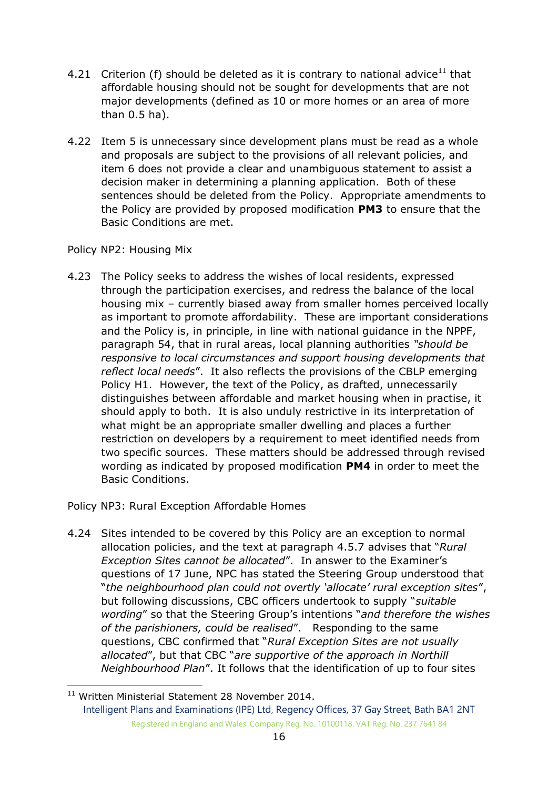- 4.21 Criterion (f) should be deleted as it is contrary to national advice<sup>11</sup> that affordable housing should not be sought for developments that are not major developments (defined as 10 or more homes or an area of more than 0.5 ha).
- 4.22 Item 5 is unnecessary since development plans must be read as a whole and proposals are subject to the provisions of all relevant policies, and item 6 does not provide a clear and unambiguous statement to assist a decision maker in determining a planning application. Both of these sentences should be deleted from the Policy. Appropriate amendments to the Policy are provided by proposed modification **PM3** to ensure that the Basic Conditions are met.

### Policy NP2: Housing Mix

-

4.23 The Policy seeks to address the wishes of local residents, expressed through the participation exercises, and redress the balance of the local housing mix – currently biased away from smaller homes perceived locally as important to promote affordability. These are important considerations and the Policy is, in principle, in line with national guidance in the NPPF, paragraph 54, that in rural areas, local planning authorities *"should be responsive to local circumstances and support housing developments that reflect local needs*". It also reflects the provisions of the CBLP emerging Policy H1. However, the text of the Policy, as drafted, unnecessarily distinguishes between affordable and market housing when in practise, it should apply to both. It is also unduly restrictive in its interpretation of what might be an appropriate smaller dwelling and places a further restriction on developers by a requirement to meet identified needs from two specific sources. These matters should be addressed through revised wording as indicated by proposed modification **PM4** in order to meet the Basic Conditions.

Policy NP3: Rural Exception Affordable Homes

4.24 Sites intended to be covered by this Policy are an exception to normal allocation policies, and the text at paragraph 4.5.7 advises that "*Rural Exception Sites cannot be allocated*". In answer to the Examiner's questions of 17 June, NPC has stated the Steering Group understood that "*the neighbourhood plan could not overtly 'allocate' rural exception sites*", but following discussions, CBC officers undertook to supply "*suitable wording*" so that the Steering Group's intentions "*and therefore the wishes of the parishioners, could be realised*". Responding to the same questions, CBC confirmed that "*Rural Exception Sites are not usually allocated*", but that CBC "*are supportive of the approach in Northill Neighbourhood Plan*". It follows that the identification of up to four sites

Intelligent Plans and Examinations (IPE) Ltd, Regency Offices, 37 Gay Street, Bath BA1 2NT Registered in England and Wales. Company Reg. No. 10100118. VAT Reg. No. 237 7641 84 <sup>11</sup> Written Ministerial Statement 28 November 2014.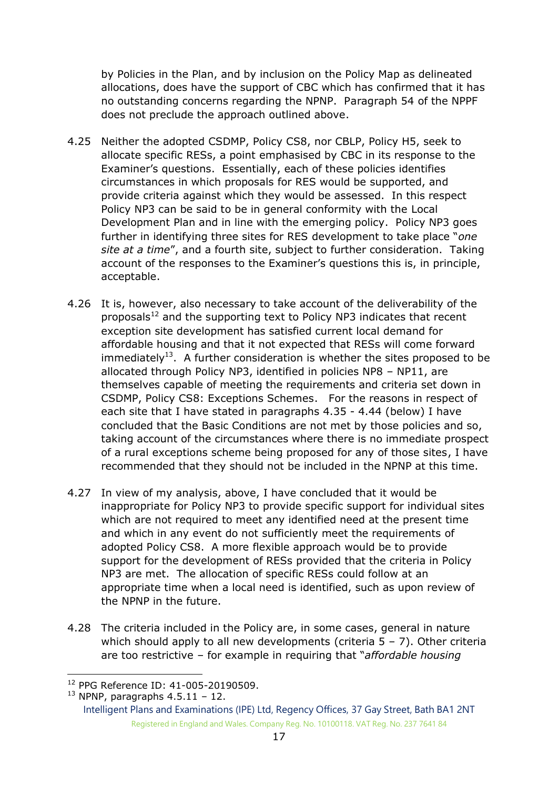by Policies in the Plan, and by inclusion on the Policy Map as delineated allocations, does have the support of CBC which has confirmed that it has no outstanding concerns regarding the NPNP. Paragraph 54 of the NPPF does not preclude the approach outlined above.

- 4.25 Neither the adopted CSDMP, Policy CS8, nor CBLP, Policy H5, seek to allocate specific RESs, a point emphasised by CBC in its response to the Examiner's questions. Essentially, each of these policies identifies circumstances in which proposals for RES would be supported, and provide criteria against which they would be assessed. In this respect Policy NP3 can be said to be in general conformity with the Local Development Plan and in line with the emerging policy. Policy NP3 goes further in identifying three sites for RES development to take place "*one site at a time*", and a fourth site, subject to further consideration. Taking account of the responses to the Examiner's questions this is, in principle, acceptable.
- 4.26 It is, however, also necessary to take account of the deliverability of the proposals $12$  and the supporting text to Policy NP3 indicates that recent exception site development has satisfied current local demand for affordable housing and that it not expected that RESs will come forward immediately<sup>13</sup>. A further consideration is whether the sites proposed to be allocated through Policy NP3, identified in policies NP8 – NP11, are themselves capable of meeting the requirements and criteria set down in CSDMP, Policy CS8: Exceptions Schemes. For the reasons in respect of each site that I have stated in paragraphs 4.35 - 4.44 (below) I have concluded that the Basic Conditions are not met by those policies and so, taking account of the circumstances where there is no immediate prospect of a rural exceptions scheme being proposed for any of those sites, I have recommended that they should not be included in the NPNP at this time.
- 4.27 In view of my analysis, above, I have concluded that it would be inappropriate for Policy NP3 to provide specific support for individual sites which are not required to meet any identified need at the present time and which in any event do not sufficiently meet the requirements of adopted Policy CS8. A more flexible approach would be to provide support for the development of RESs provided that the criteria in Policy NP3 are met. The allocation of specific RESs could follow at an appropriate time when a local need is identified, such as upon review of the NPNP in the future.
- 4.28 The criteria included in the Policy are, in some cases, general in nature which should apply to all new developments (criteria  $5 - 7$ ). Other criteria are too restrictive – for example in requiring that "*affordable housing*

<sup>-</sup><sup>12</sup> PPG Reference ID: 41-005-20190509.

 $13$  NPNP, paragraphs 4.5.11 - 12.

Intelligent Plans and Examinations (IPE) Ltd, Regency Offices, 37 Gay Street, Bath BA1 2NT Registered in England and Wales. Company Reg. No. 10100118. VAT Reg. No. 237 7641 84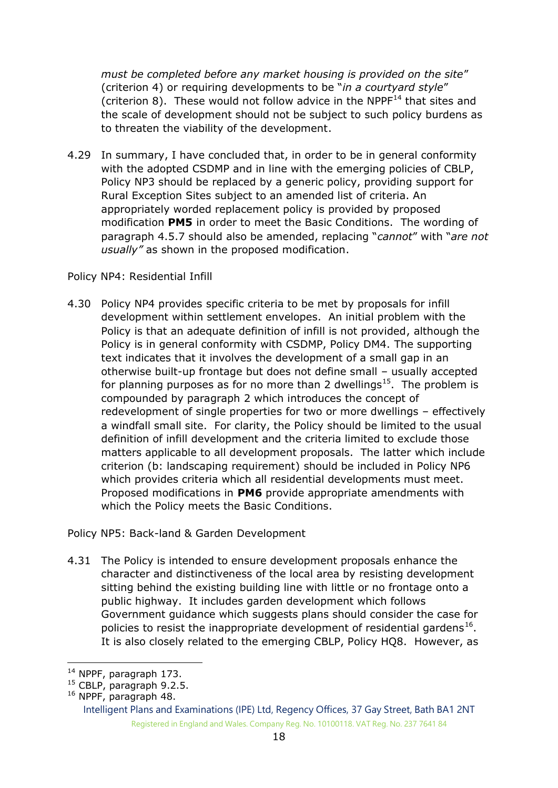*must be completed before any market housing is provided on the site*" (criterion 4) or requiring developments to be "*in a courtyard style*" (criterion 8). These would not follow advice in the NPPF $^{14}$  that sites and the scale of development should not be subject to such policy burdens as to threaten the viability of the development.

4.29 In summary, I have concluded that, in order to be in general conformity with the adopted CSDMP and in line with the emerging policies of CBLP, Policy NP3 should be replaced by a generic policy, providing support for Rural Exception Sites subject to an amended list of criteria. An appropriately worded replacement policy is provided by proposed modification **PM5** in order to meet the Basic Conditions. The wording of paragraph 4.5.7 should also be amended, replacing "*cannot*" with "*are not usually"* as shown in the proposed modification.

#### Policy NP4: Residential Infill

4.30 Policy NP4 provides specific criteria to be met by proposals for infill development within settlement envelopes. An initial problem with the Policy is that an adequate definition of infill is not provided, although the Policy is in general conformity with CSDMP, Policy DM4. The supporting text indicates that it involves the development of a small gap in an otherwise built-up frontage but does not define small – usually accepted for planning purposes as for no more than 2 dwellings<sup>15</sup>. The problem is compounded by paragraph 2 which introduces the concept of redevelopment of single properties for two or more dwellings – effectively a windfall small site. For clarity, the Policy should be limited to the usual definition of infill development and the criteria limited to exclude those matters applicable to all development proposals. The latter which include criterion (b: landscaping requirement) should be included in Policy NP6 which provides criteria which all residential developments must meet. Proposed modifications in **PM6** provide appropriate amendments with which the Policy meets the Basic Conditions.

#### Policy NP5: Back-land & Garden Development

4.31 The Policy is intended to ensure development proposals enhance the character and distinctiveness of the local area by resisting development sitting behind the existing building line with little or no frontage onto a public highway. It includes garden development which follows Government guidance which suggests plans should consider the case for policies to resist the inappropriate development of residential gardens $^{16}$ . It is also closely related to the emerging CBLP, Policy HQ8. However, as

<sup>-</sup><sup>14</sup> NPPF, paragraph 173.

<sup>&</sup>lt;sup>15</sup> CBLP, paragraph 9.2.5.

<sup>16</sup> NPPF, paragraph 48.

Intelligent Plans and Examinations (IPE) Ltd, Regency Offices, 37 Gay Street, Bath BA1 2NT Registered in England and Wales. Company Reg. No. 10100118. VAT Reg. No. 237 7641 84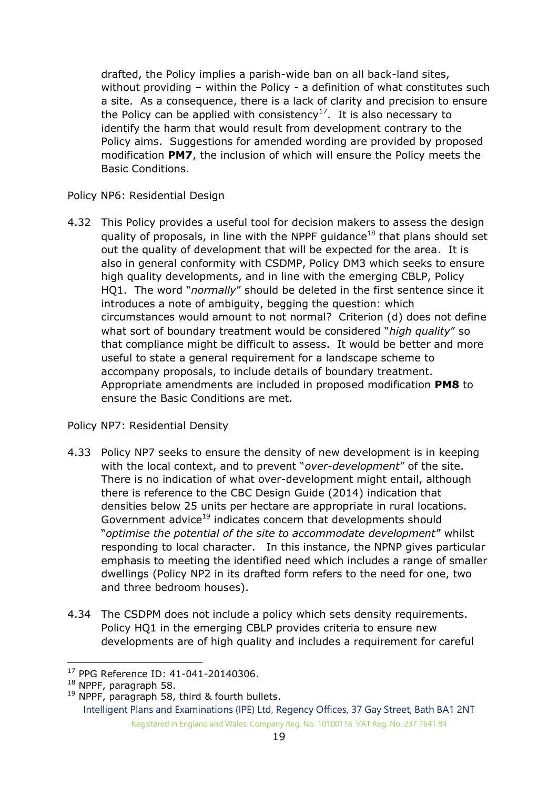drafted, the Policy implies a parish-wide ban on all back-land sites, without providing – within the Policy - a definition of what constitutes such a site. As a consequence, there is a lack of clarity and precision to ensure the Policy can be applied with consistency<sup>17</sup>. It is also necessary to identify the harm that would result from development contrary to the Policy aims. Suggestions for amended wording are provided by proposed modification **PM7**, the inclusion of which will ensure the Policy meets the Basic Conditions.

Policy NP6: Residential Design

4.32 This Policy provides a useful tool for decision makers to assess the design quality of proposals, in line with the NPPF quidance<sup>18</sup> that plans should set out the quality of development that will be expected for the area. It is also in general conformity with CSDMP, Policy DM3 which seeks to ensure high quality developments, and in line with the emerging CBLP, Policy HQ1. The word "*normally*" should be deleted in the first sentence since it introduces a note of ambiguity, begging the question: which circumstances would amount to not normal? Criterion (d) does not define what sort of boundary treatment would be considered "*high quality*" so that compliance might be difficult to assess. It would be better and more useful to state a general requirement for a landscape scheme to accompany proposals, to include details of boundary treatment. Appropriate amendments are included in proposed modification **PM8** to ensure the Basic Conditions are met.

Policy NP7: Residential Density

- 4.33 Policy NP7 seeks to ensure the density of new development is in keeping with the local context, and to prevent "*over-development*" of the site. There is no indication of what over-development might entail, although there is reference to the CBC Design Guide (2014) indication that densities below 25 units per hectare are appropriate in rural locations. Government advice<sup>19</sup> indicates concern that developments should "*optimise the potential of the site to accommodate development*" whilst responding to local character. In this instance, the NPNP gives particular emphasis to meeting the identified need which includes a range of smaller dwellings (Policy NP2 in its drafted form refers to the need for one, two and three bedroom houses).
- 4.34 The CSDPM does not include a policy which sets density requirements. Policy HQ1 in the emerging CBLP provides criteria to ensure new developments are of high quality and includes a requirement for careful

<sup>-</sup><sup>17</sup> PPG Reference ID: 41-041-20140306.

<sup>18</sup> NPPF, paragraph 58.

Intelligent Plans and Examinations (IPE) Ltd, Regency Offices, 37 Gay Street, Bath BA1 2NT Registered in England and Wales. Company Reg. No. 10100118. VAT Reg. No. 237 7641 84 <sup>19</sup> NPPF, paragraph 58, third & fourth bullets.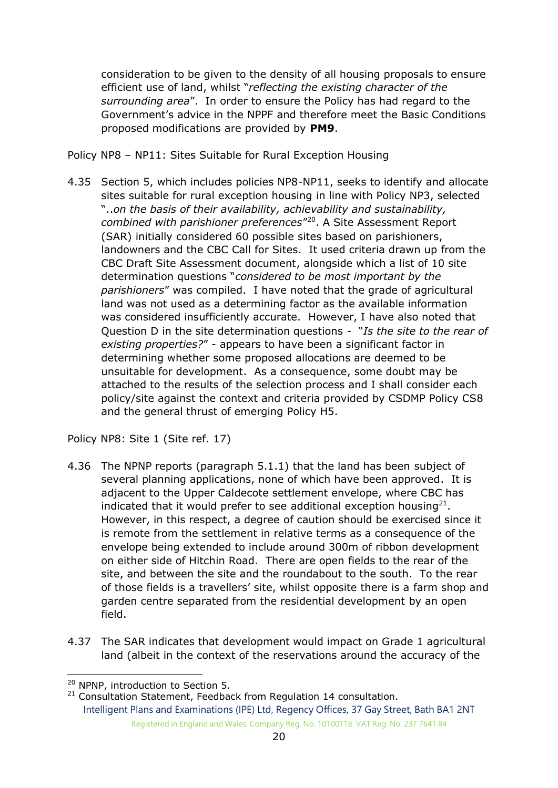consideration to be given to the density of all housing proposals to ensure efficient use of land, whilst "*reflecting the existing character of the surrounding area*". In order to ensure the Policy has had regard to the Government's advice in the NPPF and therefore meet the Basic Conditions proposed modifications are provided by **PM9**.

Policy NP8 – NP11: Sites Suitable for Rural Exception Housing

4.35 Section 5, which includes policies NP8-NP11, seeks to identify and allocate sites suitable for rural exception housing in line with Policy NP3, selected "..*on the basis of their availability, achievability and sustainability, combined with parishioner preferences*" 20 . A Site Assessment Report (SAR) initially considered 60 possible sites based on parishioners, landowners and the CBC Call for Sites. It used criteria drawn up from the CBC Draft Site Assessment document, alongside which a list of 10 site determination questions "*considered to be most important by the parishioners*" was compiled. I have noted that the grade of agricultural land was not used as a determining factor as the available information was considered insufficiently accurate. However, I have also noted that Question D in the site determination questions - "*Is the site to the rear of existing properties?*" - appears to have been a significant factor in determining whether some proposed allocations are deemed to be unsuitable for development. As a consequence, some doubt may be attached to the results of the selection process and I shall consider each policy/site against the context and criteria provided by CSDMP Policy CS8 and the general thrust of emerging Policy H5.

Policy NP8: Site 1 (Site ref. 17)

- 4.36 The NPNP reports (paragraph 5.1.1) that the land has been subject of several planning applications, none of which have been approved. It is adjacent to the Upper Caldecote settlement envelope, where CBC has indicated that it would prefer to see additional exception housing<sup>21</sup>. However, in this respect, a degree of caution should be exercised since it is remote from the settlement in relative terms as a consequence of the envelope being extended to include around 300m of ribbon development on either side of Hitchin Road. There are open fields to the rear of the site, and between the site and the roundabout to the south. To the rear of those fields is a travellers' site, whilst opposite there is a farm shop and garden centre separated from the residential development by an open field.
- 4.37 The SAR indicates that development would impact on Grade 1 agricultural land (albeit in the context of the reservations around the accuracy of the

<sup>-</sup><sup>20</sup> NPNP, introduction to Section 5.

Intelligent Plans and Examinations (IPE) Ltd, Regency Offices, 37 Gay Street, Bath BA1 2NT Registered in England and Wales. Company Reg. No. 10100118. VAT Reg. No. 237 7641 84 <sup>21</sup> Consultation Statement, Feedback from Regulation 14 consultation.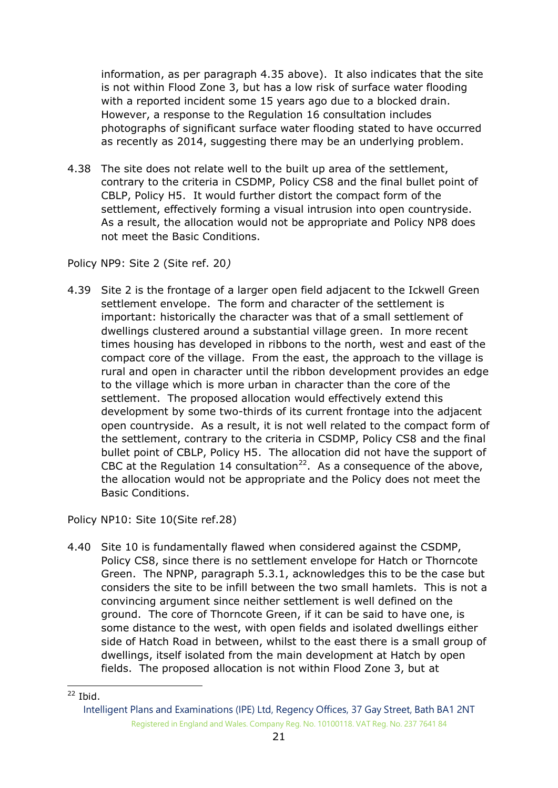information, as per paragraph 4.35 above). It also indicates that the site is not within Flood Zone 3, but has a low risk of surface water flooding with a reported incident some 15 years ago due to a blocked drain. However, a response to the Regulation 16 consultation includes photographs of significant surface water flooding stated to have occurred as recently as 2014, suggesting there may be an underlying problem.

4.38 The site does not relate well to the built up area of the settlement, contrary to the criteria in CSDMP, Policy CS8 and the final bullet point of CBLP, Policy H5. It would further distort the compact form of the settlement, effectively forming a visual intrusion into open countryside. As a result, the allocation would not be appropriate and Policy NP8 does not meet the Basic Conditions.

Policy NP9: Site 2 (Site ref. 20*)*

4.39 Site 2 is the frontage of a larger open field adjacent to the Ickwell Green settlement envelope. The form and character of the settlement is important: historically the character was that of a small settlement of dwellings clustered around a substantial village green. In more recent times housing has developed in ribbons to the north, west and east of the compact core of the village. From the east, the approach to the village is rural and open in character until the ribbon development provides an edge to the village which is more urban in character than the core of the settlement. The proposed allocation would effectively extend this development by some two-thirds of its current frontage into the adjacent open countryside. As a result, it is not well related to the compact form of the settlement, contrary to the criteria in CSDMP, Policy CS8 and the final bullet point of CBLP, Policy H5. The allocation did not have the support of CBC at the Regulation 14 consultation<sup>22</sup>. As a consequence of the above, the allocation would not be appropriate and the Policy does not meet the Basic Conditions.

Policy NP10: Site 10(Site ref.28)

4.40 Site 10 is fundamentally flawed when considered against the CSDMP, Policy CS8, since there is no settlement envelope for Hatch or Thorncote Green. The NPNP, paragraph 5.3.1, acknowledges this to be the case but considers the site to be infill between the two small hamlets. This is not a convincing argument since neither settlement is well defined on the ground. The core of Thorncote Green, if it can be said to have one, is some distance to the west, with open fields and isolated dwellings either side of Hatch Road in between, whilst to the east there is a small group of dwellings, itself isolated from the main development at Hatch by open fields. The proposed allocation is not within Flood Zone 3, but at

<sup>-</sup> $22$  Ibid.

Intelligent Plans and Examinations (IPE) Ltd, Regency Offices, 37 Gay Street, Bath BA1 2NT Registered in England and Wales. Company Reg. No. 10100118. VAT Reg. No. 237 7641 84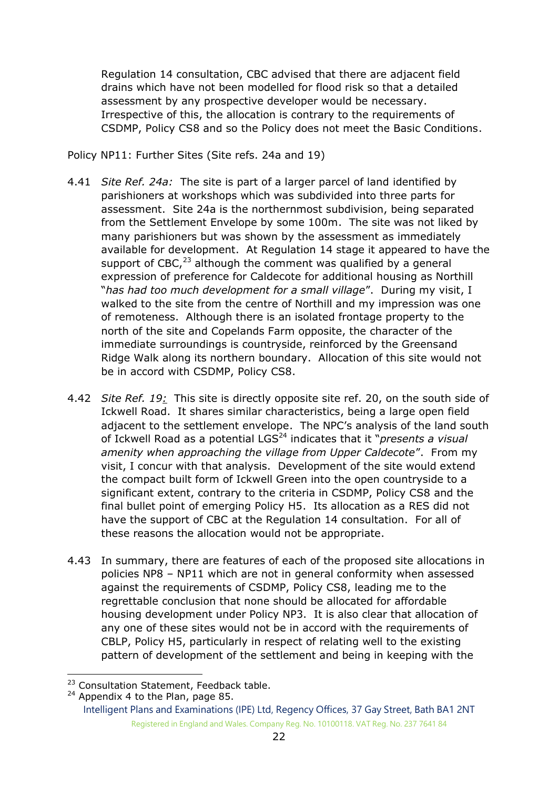Regulation 14 consultation, CBC advised that there are adjacent field drains which have not been modelled for flood risk so that a detailed assessment by any prospective developer would be necessary. Irrespective of this, the allocation is contrary to the requirements of CSDMP, Policy CS8 and so the Policy does not meet the Basic Conditions.

Policy NP11: Further Sites (Site refs. 24a and 19)

- 4.41 *Site Ref. 24a:* The site is part of a larger parcel of land identified by parishioners at workshops which was subdivided into three parts for assessment. Site 24a is the northernmost subdivision, being separated from the Settlement Envelope by some 100m. The site was not liked by many parishioners but was shown by the assessment as immediately available for development. At Regulation 14 stage it appeared to have the support of CBC, $^{23}$  although the comment was qualified by a general expression of preference for Caldecote for additional housing as Northill "*has had too much development for a small village*". During my visit, I walked to the site from the centre of Northill and my impression was one of remoteness. Although there is an isolated frontage property to the north of the site and Copelands Farm opposite, the character of the immediate surroundings is countryside, reinforced by the Greensand Ridge Walk along its northern boundary. Allocation of this site would not be in accord with CSDMP, Policy CS8.
- 4.42 *Site Ref. 19:* This site is directly opposite site ref. 20, on the south side of Ickwell Road. It shares similar characteristics, being a large open field adjacent to the settlement envelope. The NPC's analysis of the land south of Ickwell Road as a potential LGS<sup>24</sup> indicates that it "*presents a visual amenity when approaching the village from Upper Caldecote*". From my visit, I concur with that analysis. Development of the site would extend the compact built form of Ickwell Green into the open countryside to a significant extent, contrary to the criteria in CSDMP, Policy CS8 and the final bullet point of emerging Policy H5. Its allocation as a RES did not have the support of CBC at the Regulation 14 consultation. For all of these reasons the allocation would not be appropriate.
- 4.43 In summary, there are features of each of the proposed site allocations in policies NP8 – NP11 which are not in general conformity when assessed against the requirements of CSDMP, Policy CS8, leading me to the regrettable conclusion that none should be allocated for affordable housing development under Policy NP3. It is also clear that allocation of any one of these sites would not be in accord with the requirements of CBLP, Policy H5, particularly in respect of relating well to the existing pattern of development of the settlement and being in keeping with the

<sup>-</sup><sup>23</sup> Consultation Statement, Feedback table.

<sup>&</sup>lt;sup>24</sup> Appendix 4 to the Plan, page 85.

Intelligent Plans and Examinations (IPE) Ltd, Regency Offices, 37 Gay Street, Bath BA1 2NT Registered in England and Wales. Company Reg. No. 10100118. VAT Reg. No. 237 7641 84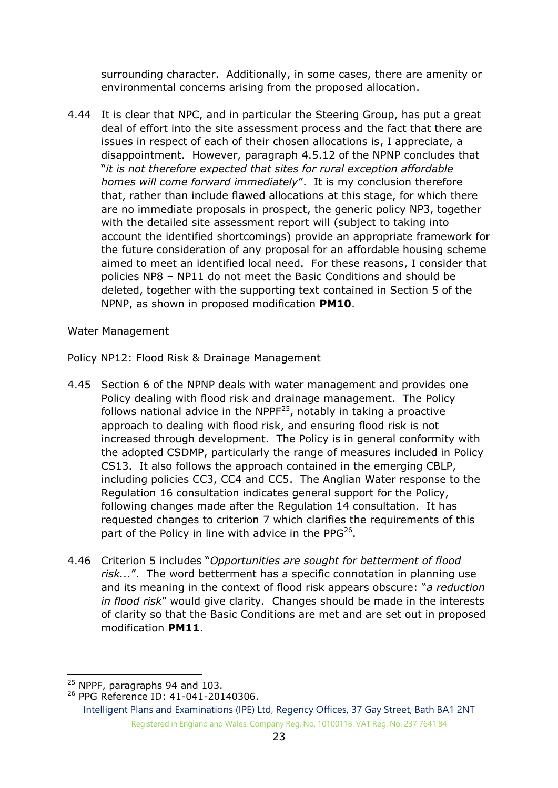surrounding character. Additionally, in some cases, there are amenity or environmental concerns arising from the proposed allocation.

4.44 It is clear that NPC, and in particular the Steering Group, has put a great deal of effort into the site assessment process and the fact that there are issues in respect of each of their chosen allocations is, I appreciate, a disappointment. However, paragraph 4.5.12 of the NPNP concludes that "*it is not therefore expected that sites for rural exception affordable homes will come forward immediately*". It is my conclusion therefore that, rather than include flawed allocations at this stage, for which there are no immediate proposals in prospect, the generic policy NP3, together with the detailed site assessment report will (subject to taking into account the identified shortcomings) provide an appropriate framework for the future consideration of any proposal for an affordable housing scheme aimed to meet an identified local need. For these reasons, I consider that policies NP8 – NP11 do not meet the Basic Conditions and should be deleted, together with the supporting text contained in Section 5 of the NPNP, as shown in proposed modification **PM10**.

#### Water Management

Policy NP12: Flood Risk & Drainage Management

- 4.45 Section 6 of the NPNP deals with water management and provides one Policy dealing with flood risk and drainage management. The Policy follows national advice in the  $NPPF<sup>25</sup>$ , notably in taking a proactive approach to dealing with flood risk, and ensuring flood risk is not increased through development. The Policy is in general conformity with the adopted CSDMP, particularly the range of measures included in Policy CS13. It also follows the approach contained in the emerging CBLP, including policies CC3, CC4 and CC5. The Anglian Water response to the Regulation 16 consultation indicates general support for the Policy, following changes made after the Regulation 14 consultation. It has requested changes to criterion 7 which clarifies the requirements of this part of the Policy in line with advice in the PPG $^{26}$ .
- 4.46 Criterion 5 includes "*Opportunities are sought for betterment of flood risk...*". The word betterment has a specific connotation in planning use and its meaning in the context of flood risk appears obscure: "*a reduction in flood risk*" would give clarity. Changes should be made in the interests of clarity so that the Basic Conditions are met and are set out in proposed modification **PM11**.

<sup>-</sup><sup>25</sup> NPPF, paragraphs 94 and 103.

<sup>26</sup> PPG Reference ID: 41-041-20140306.

Intelligent Plans and Examinations (IPE) Ltd, Regency Offices, 37 Gay Street, Bath BA1 2NT Registered in England and Wales. Company Reg. No. 10100118. VAT Reg. No. 237 7641 84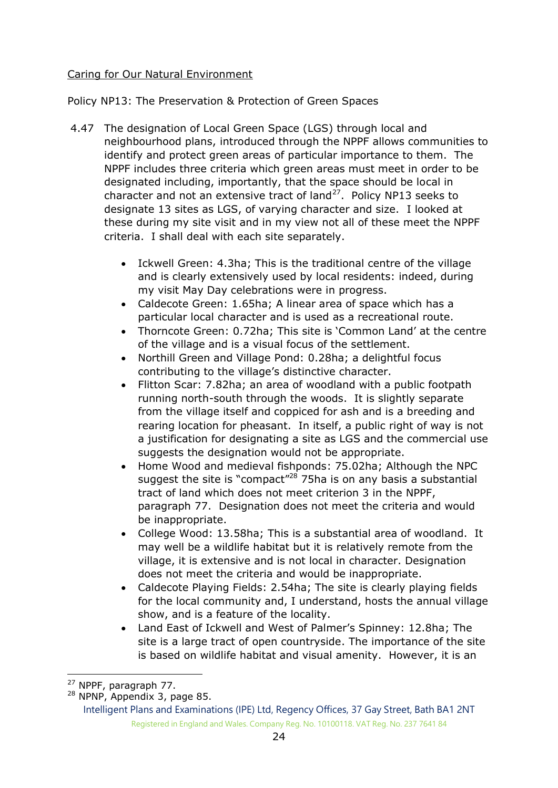## Caring for Our Natural Environment

Policy NP13: The Preservation & Protection of Green Spaces

- 4.47 The designation of Local Green Space (LGS) through local and neighbourhood plans, introduced through the NPPF allows communities to identify and protect green areas of particular importance to them. The NPPF includes three criteria which green areas must meet in order to be designated including, importantly, that the space should be local in character and not an extensive tract of  $land<sup>27</sup>$ . Policy NP13 seeks to designate 13 sites as LGS, of varying character and size. I looked at these during my site visit and in my view not all of these meet the NPPF criteria. I shall deal with each site separately.
	- Ickwell Green: 4.3ha; This is the traditional centre of the village and is clearly extensively used by local residents: indeed, during my visit May Day celebrations were in progress.
	- Caldecote Green: 1.65ha; A linear area of space which has a particular local character and is used as a recreational route.
	- Thorncote Green: 0.72ha; This site is 'Common Land' at the centre of the village and is a visual focus of the settlement.
	- Northill Green and Village Pond: 0.28ha; a delightful focus contributing to the village's distinctive character.
	- Flitton Scar: 7.82ha; an area of woodland with a public footpath running north-south through the woods. It is slightly separate from the village itself and coppiced for ash and is a breeding and rearing location for pheasant. In itself, a public right of way is not a justification for designating a site as LGS and the commercial use suggests the designation would not be appropriate.
	- Home Wood and medieval fishponds: 75.02ha; Although the NPC suggest the site is "compact"<sup>28</sup> 75ha is on any basis a substantial tract of land which does not meet criterion 3 in the NPPF, paragraph 77. Designation does not meet the criteria and would be inappropriate.
	- College Wood: 13.58ha; This is a substantial area of woodland. It may well be a wildlife habitat but it is relatively remote from the village, it is extensive and is not local in character. Designation does not meet the criteria and would be inappropriate.
	- Caldecote Playing Fields: 2.54ha; The site is clearly playing fields for the local community and, I understand, hosts the annual village show, and is a feature of the locality.
	- Land East of Ickwell and West of Palmer's Spinney: 12.8ha; The site is a large tract of open countryside. The importance of the site is based on wildlife habitat and visual amenity. However, it is an

<sup>-</sup><sup>27</sup> NPPF, paragraph 77.

<sup>28</sup> NPNP, Appendix 3, page 85.

Intelligent Plans and Examinations (IPE) Ltd, Regency Offices, 37 Gay Street, Bath BA1 2NT Registered in England and Wales. Company Reg. No. 10100118. VAT Reg. No. 237 7641 84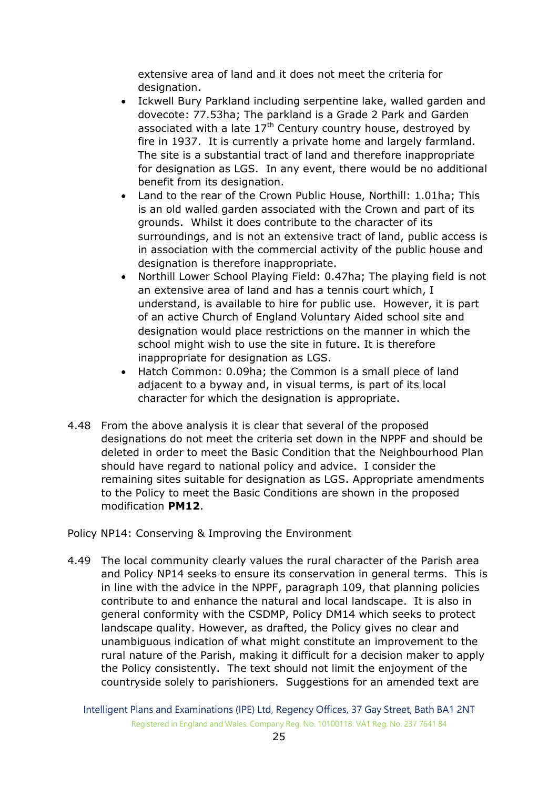extensive area of land and it does not meet the criteria for designation.

- Ickwell Bury Parkland including serpentine lake, walled garden and dovecote: 77.53ha; The parkland is a Grade 2 Park and Garden associated with a late  $17<sup>th</sup>$  Century country house, destroyed by fire in 1937. It is currently a private home and largely farmland. The site is a substantial tract of land and therefore inappropriate for designation as LGS. In any event, there would be no additional benefit from its designation.
- Land to the rear of the Crown Public House, Northill: 1.01ha; This is an old walled garden associated with the Crown and part of its grounds. Whilst it does contribute to the character of its surroundings, and is not an extensive tract of land, public access is in association with the commercial activity of the public house and designation is therefore inappropriate.
- Northill Lower School Playing Field: 0.47ha; The playing field is not an extensive area of land and has a tennis court which, I understand, is available to hire for public use. However, it is part of an active Church of England Voluntary Aided school site and designation would place restrictions on the manner in which the school might wish to use the site in future. It is therefore inappropriate for designation as LGS.
- Hatch Common: 0.09ha; the Common is a small piece of land adjacent to a byway and, in visual terms, is part of its local character for which the designation is appropriate.
- 4.48 From the above analysis it is clear that several of the proposed designations do not meet the criteria set down in the NPPF and should be deleted in order to meet the Basic Condition that the Neighbourhood Plan should have regard to national policy and advice. I consider the remaining sites suitable for designation as LGS. Appropriate amendments to the Policy to meet the Basic Conditions are shown in the proposed modification **PM12**.

Policy NP14: Conserving & Improving the Environment

4.49 The local community clearly values the rural character of the Parish area and Policy NP14 seeks to ensure its conservation in general terms. This is in line with the advice in the NPPF, paragraph 109, that planning policies contribute to and enhance the natural and local landscape. It is also in general conformity with the CSDMP, Policy DM14 which seeks to protect landscape quality. However, as drafted, the Policy gives no clear and unambiguous indication of what might constitute an improvement to the rural nature of the Parish, making it difficult for a decision maker to apply the Policy consistently. The text should not limit the enjoyment of the countryside solely to parishioners. Suggestions for an amended text are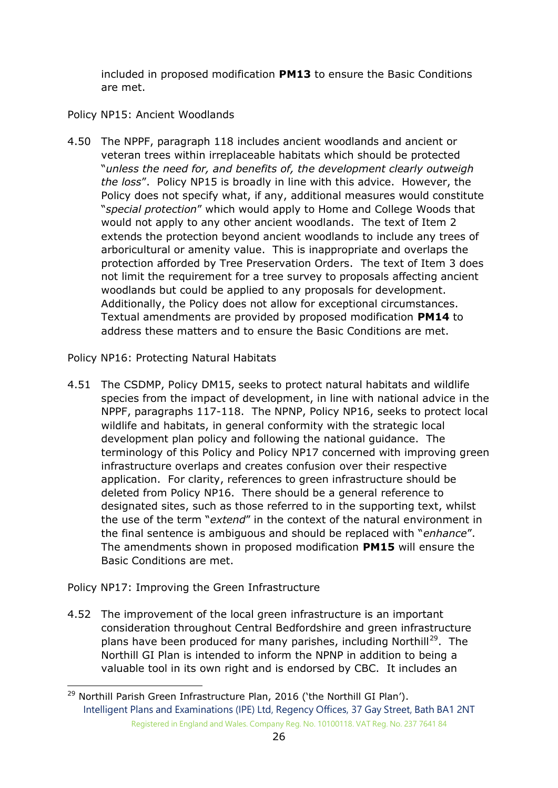included in proposed modification **PM13** to ensure the Basic Conditions are met.

## Policy NP15: Ancient Woodlands

4.50 The NPPF, paragraph 118 includes ancient woodlands and ancient or veteran trees within irreplaceable habitats which should be protected "*unless the need for, and benefits of, the development clearly outweigh the loss*". Policy NP15 is broadly in line with this advice. However, the Policy does not specify what, if any, additional measures would constitute "*special protection*" which would apply to Home and College Woods that would not apply to any other ancient woodlands. The text of Item 2 extends the protection beyond ancient woodlands to include any trees of arboricultural or amenity value. This is inappropriate and overlaps the protection afforded by Tree Preservation Orders. The text of Item 3 does not limit the requirement for a tree survey to proposals affecting ancient woodlands but could be applied to any proposals for development. Additionally, the Policy does not allow for exceptional circumstances. Textual amendments are provided by proposed modification **PM14** to address these matters and to ensure the Basic Conditions are met.

Policy NP16: Protecting Natural Habitats

4.51 The CSDMP, Policy DM15, seeks to protect natural habitats and wildlife species from the impact of development, in line with national advice in the NPPF, paragraphs 117-118. The NPNP, Policy NP16, seeks to protect local wildlife and habitats, in general conformity with the strategic local development plan policy and following the national guidance. The terminology of this Policy and Policy NP17 concerned with improving green infrastructure overlaps and creates confusion over their respective application. For clarity, references to green infrastructure should be deleted from Policy NP16. There should be a general reference to designated sites, such as those referred to in the supporting text, whilst the use of the term "*extend*" in the context of the natural environment in the final sentence is ambiguous and should be replaced with "*enhance*". The amendments shown in proposed modification **PM15** will ensure the Basic Conditions are met.

Policy NP17: Improving the Green Infrastructure

-

4.52 The improvement of the local green infrastructure is an important consideration throughout Central Bedfordshire and green infrastructure plans have been produced for many parishes, including Northill<sup>29</sup>. The Northill GI Plan is intended to inform the NPNP in addition to being a valuable tool in its own right and is endorsed by CBC. It includes an

Intelligent Plans and Examinations (IPE) Ltd, Regency Offices, 37 Gay Street, Bath BA1 2NT Registered in England and Wales. Company Reg. No. 10100118. VAT Reg. No. 237 7641 84 <sup>29</sup> Northill Parish Green Infrastructure Plan, 2016 ('the Northill GI Plan').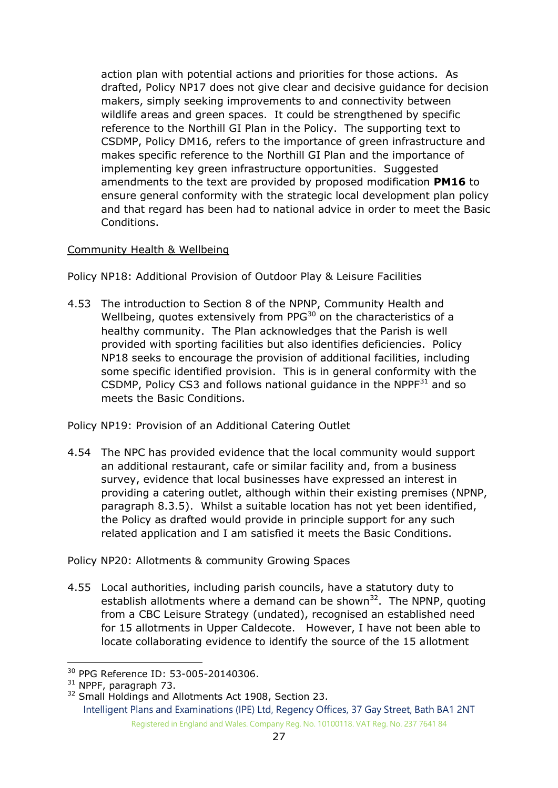action plan with potential actions and priorities for those actions. As drafted, Policy NP17 does not give clear and decisive guidance for decision makers, simply seeking improvements to and connectivity between wildlife areas and green spaces. It could be strengthened by specific reference to the Northill GI Plan in the Policy. The supporting text to CSDMP, Policy DM16, refers to the importance of green infrastructure and makes specific reference to the Northill GI Plan and the importance of implementing key green infrastructure opportunities. Suggested amendments to the text are provided by proposed modification **PM16** to ensure general conformity with the strategic local development plan policy and that regard has been had to national advice in order to meet the Basic Conditions.

## Community Health & Wellbeing

Policy NP18: Additional Provision of Outdoor Play & Leisure Facilities

4.53 The introduction to Section 8 of the NPNP, Community Health and Wellbeing, quotes extensively from  $PPG<sup>30</sup>$  on the characteristics of a healthy community. The Plan acknowledges that the Parish is well provided with sporting facilities but also identifies deficiencies. Policy NP18 seeks to encourage the provision of additional facilities, including some specific identified provision. This is in general conformity with the CSDMP, Policy CS3 and follows national guidance in the  $NPPF<sup>31</sup>$  and so meets the Basic Conditions.

Policy NP19: Provision of an Additional Catering Outlet

4.54 The NPC has provided evidence that the local community would support an additional restaurant, cafe or similar facility and, from a business survey, evidence that local businesses have expressed an interest in providing a catering outlet, although within their existing premises (NPNP, paragraph 8.3.5). Whilst a suitable location has not yet been identified, the Policy as drafted would provide in principle support for any such related application and I am satisfied it meets the Basic Conditions.

Policy NP20: Allotments & community Growing Spaces

4.55 Local authorities, including parish councils, have a statutory duty to establish allotments where a demand can be shown $32$ . The NPNP, quoting from a CBC Leisure Strategy (undated), recognised an established need for 15 allotments in Upper Caldecote. However, I have not been able to locate collaborating evidence to identify the source of the 15 allotment

<sup>-</sup><sup>30</sup> PPG Reference ID: 53-005-20140306.

<sup>31</sup> NPPF, paragraph 73.

Intelligent Plans and Examinations (IPE) Ltd, Regency Offices, 37 Gay Street, Bath BA1 2NT Registered in England and Wales. Company Reg. No. 10100118. VAT Reg. No. 237 7641 84 <sup>32</sup> Small Holdings and Allotments Act 1908, Section 23.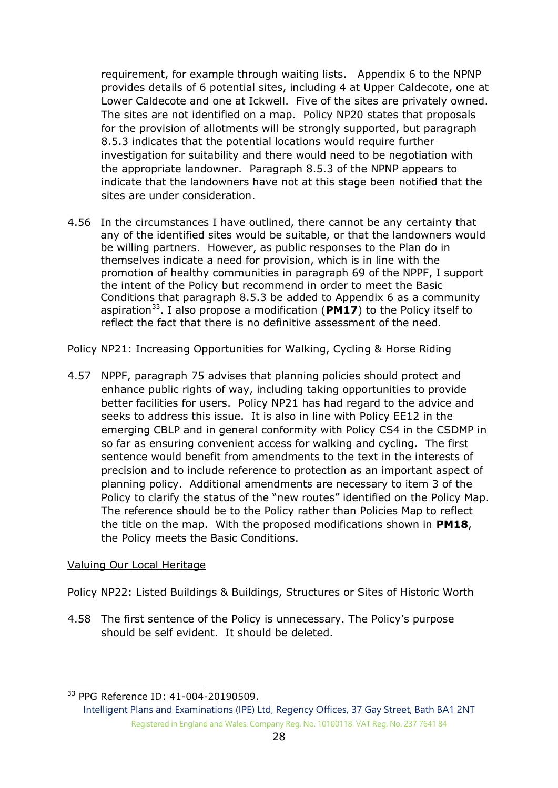requirement, for example through waiting lists. Appendix 6 to the NPNP provides details of 6 potential sites, including 4 at Upper Caldecote, one at Lower Caldecote and one at Ickwell. Five of the sites are privately owned. The sites are not identified on a map. Policy NP20 states that proposals for the provision of allotments will be strongly supported, but paragraph 8.5.3 indicates that the potential locations would require further investigation for suitability and there would need to be negotiation with the appropriate landowner. Paragraph 8.5.3 of the NPNP appears to indicate that the landowners have not at this stage been notified that the sites are under consideration.

4.56 In the circumstances I have outlined, there cannot be any certainty that any of the identified sites would be suitable, or that the landowners would be willing partners. However, as public responses to the Plan do in themselves indicate a need for provision, which is in line with the promotion of healthy communities in paragraph 69 of the NPPF, I support the intent of the Policy but recommend in order to meet the Basic Conditions that paragraph 8.5.3 be added to Appendix 6 as a community aspiration<sup>33</sup>. I also propose a modification (PM17) to the Policy itself to reflect the fact that there is no definitive assessment of the need.

Policy NP21: Increasing Opportunities for Walking, Cycling & Horse Riding

4.57 NPPF, paragraph 75 advises that planning policies should protect and enhance public rights of way, including taking opportunities to provide better facilities for users. Policy NP21 has had regard to the advice and seeks to address this issue. It is also in line with Policy EE12 in the emerging CBLP and in general conformity with Policy CS4 in the CSDMP in so far as ensuring convenient access for walking and cycling. The first sentence would benefit from amendments to the text in the interests of precision and to include reference to protection as an important aspect of planning policy. Additional amendments are necessary to item 3 of the Policy to clarify the status of the "new routes" identified on the Policy Map. The reference should be to the Policy rather than Policies Map to reflect the title on the map. With the proposed modifications shown in **PM18**, the Policy meets the Basic Conditions.

#### Valuing Our Local Heritage

Policy NP22: Listed Buildings & Buildings, Structures or Sites of Historic Worth

4.58 The first sentence of the Policy is unnecessary. The Policy's purpose should be self evident. It should be deleted.

<sup>-</sup><sup>33</sup> PPG Reference ID: 41-004-20190509.

Intelligent Plans and Examinations (IPE) Ltd, Regency Offices, 37 Gay Street, Bath BA1 2NT Registered in England and Wales. Company Reg. No. 10100118. VAT Reg. No. 237 7641 84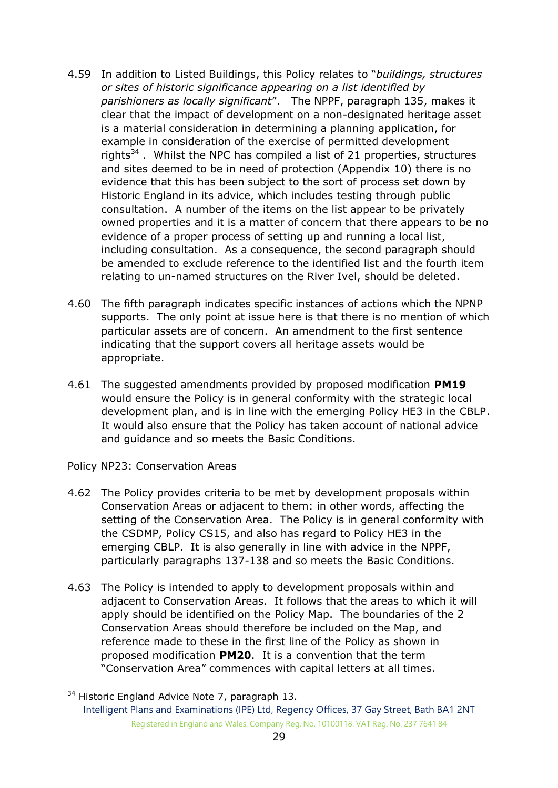- 4.59 In addition to Listed Buildings, this Policy relates to "*buildings, structures or sites of historic significance appearing on a list identified by parishioners as locally significant*". The NPPF, paragraph 135, makes it clear that the impact of development on a non-designated heritage asset is a material consideration in determining a planning application, for example in consideration of the exercise of permitted development rights $34$ . Whilst the NPC has compiled a list of 21 properties, structures and sites deemed to be in need of protection (Appendix 10) there is no evidence that this has been subject to the sort of process set down by Historic England in its advice, which includes testing through public consultation. A number of the items on the list appear to be privately owned properties and it is a matter of concern that there appears to be no evidence of a proper process of setting up and running a local list, including consultation. As a consequence, the second paragraph should be amended to exclude reference to the identified list and the fourth item relating to un-named structures on the River Ivel, should be deleted.
- 4.60 The fifth paragraph indicates specific instances of actions which the NPNP supports. The only point at issue here is that there is no mention of which particular assets are of concern. An amendment to the first sentence indicating that the support covers all heritage assets would be appropriate.
- 4.61 The suggested amendments provided by proposed modification **PM19** would ensure the Policy is in general conformity with the strategic local development plan, and is in line with the emerging Policy HE3 in the CBLP. It would also ensure that the Policy has taken account of national advice and guidance and so meets the Basic Conditions.

Policy NP23: Conservation Areas

-

- 4.62 The Policy provides criteria to be met by development proposals within Conservation Areas or adjacent to them: in other words, affecting the setting of the Conservation Area. The Policy is in general conformity with the CSDMP, Policy CS15, and also has regard to Policy HE3 in the emerging CBLP. It is also generally in line with advice in the NPPF, particularly paragraphs 137-138 and so meets the Basic Conditions.
- 4.63 The Policy is intended to apply to development proposals within and adjacent to Conservation Areas. It follows that the areas to which it will apply should be identified on the Policy Map. The boundaries of the 2 Conservation Areas should therefore be included on the Map, and reference made to these in the first line of the Policy as shown in proposed modification **PM20**. It is a convention that the term "Conservation Area" commences with capital letters at all times.

Intelligent Plans and Examinations (IPE) Ltd, Regency Offices, 37 Gay Street, Bath BA1 2NT Registered in England and Wales. Company Reg. No. 10100118. VAT Reg. No. 237 7641 84 <sup>34</sup> Historic England Advice Note 7, paragraph 13.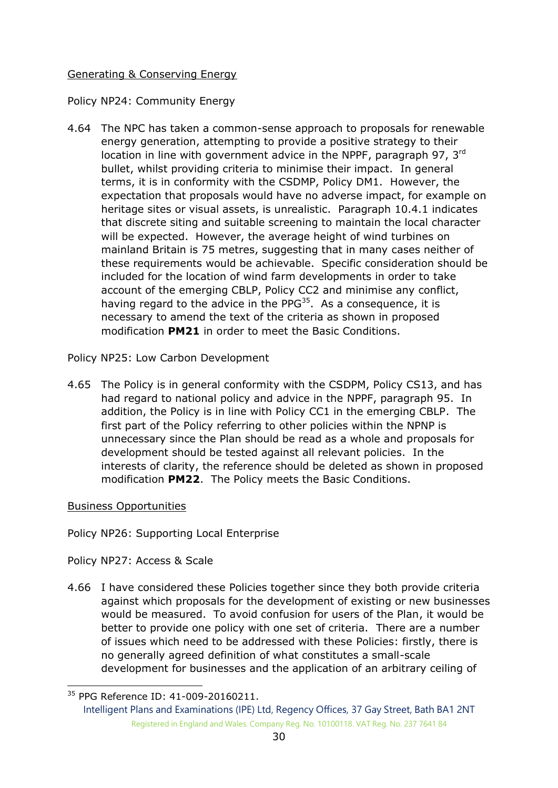## Generating & Conserving Energy

## Policy NP24: Community Energy

4.64 The NPC has taken a common-sense approach to proposals for renewable energy generation, attempting to provide a positive strategy to their location in line with government advice in the NPPF, paragraph 97, 3<sup>rd</sup> bullet, whilst providing criteria to minimise their impact. In general terms, it is in conformity with the CSDMP, Policy DM1. However, the expectation that proposals would have no adverse impact, for example on heritage sites or visual assets, is unrealistic. Paragraph 10.4.1 indicates that discrete siting and suitable screening to maintain the local character will be expected. However, the average height of wind turbines on mainland Britain is 75 metres, suggesting that in many cases neither of these requirements would be achievable. Specific consideration should be included for the location of wind farm developments in order to take account of the emerging CBLP, Policy CC2 and minimise any conflict, having regard to the advice in the PP $G^{35}$ . As a consequence, it is necessary to amend the text of the criteria as shown in proposed modification **PM21** in order to meet the Basic Conditions.

Policy NP25: Low Carbon Development

4.65 The Policy is in general conformity with the CSDPM, Policy CS13, and has had regard to national policy and advice in the NPPF, paragraph 95. In addition, the Policy is in line with Policy CC1 in the emerging CBLP. The first part of the Policy referring to other policies within the NPNP is unnecessary since the Plan should be read as a whole and proposals for development should be tested against all relevant policies. In the interests of clarity, the reference should be deleted as shown in proposed modification **PM22**. The Policy meets the Basic Conditions.

#### Business Opportunities

-

Policy NP26: Supporting Local Enterprise

Policy NP27: Access & Scale

4.66 I have considered these Policies together since they both provide criteria against which proposals for the development of existing or new businesses would be measured. To avoid confusion for users of the Plan, it would be better to provide one policy with one set of criteria. There are a number of issues which need to be addressed with these Policies: firstly, there is no generally agreed definition of what constitutes a small-scale development for businesses and the application of an arbitrary ceiling of

<sup>35</sup> PPG Reference ID: 41-009-20160211.

Intelligent Plans and Examinations (IPE) Ltd, Regency Offices, 37 Gay Street, Bath BA1 2NT Registered in England and Wales. Company Reg. No. 10100118. VAT Reg. No. 237 7641 84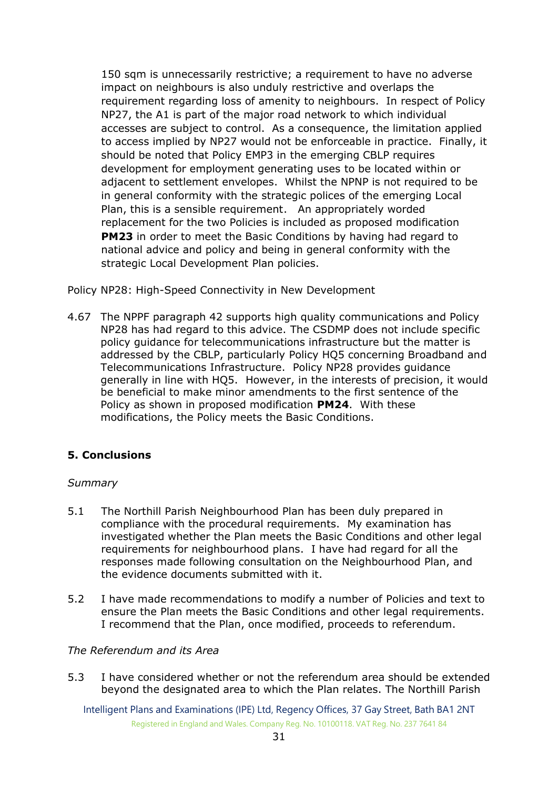150 sqm is unnecessarily restrictive; a requirement to have no adverse impact on neighbours is also unduly restrictive and overlaps the requirement regarding loss of amenity to neighbours. In respect of Policy NP27, the A1 is part of the major road network to which individual accesses are subject to control. As a consequence, the limitation applied to access implied by NP27 would not be enforceable in practice. Finally, it should be noted that Policy EMP3 in the emerging CBLP requires development for employment generating uses to be located within or adjacent to settlement envelopes. Whilst the NPNP is not required to be in general conformity with the strategic polices of the emerging Local Plan, this is a sensible requirement. An appropriately worded replacement for the two Policies is included as proposed modification **PM23** in order to meet the Basic Conditions by having had regard to national advice and policy and being in general conformity with the strategic Local Development Plan policies.

Policy NP28: High-Speed Connectivity in New Development

4.67 The NPPF paragraph 42 supports high quality communications and Policy NP28 has had regard to this advice. The CSDMP does not include specific policy guidance for telecommunications infrastructure but the matter is addressed by the CBLP, particularly Policy HQ5 concerning Broadband and Telecommunications Infrastructure. Policy NP28 provides guidance generally in line with HQ5. However, in the interests of precision, it would be beneficial to make minor amendments to the first sentence of the Policy as shown in proposed modification **PM24**. With these modifications, the Policy meets the Basic Conditions.

## **5. Conclusions**

## *Summary*

- 5.1 The Northill Parish Neighbourhood Plan has been duly prepared in compliance with the procedural requirements. My examination has investigated whether the Plan meets the Basic Conditions and other legal requirements for neighbourhood plans. I have had regard for all the responses made following consultation on the Neighbourhood Plan, and the evidence documents submitted with it.
- 5.2 I have made recommendations to modify a number of Policies and text to ensure the Plan meets the Basic Conditions and other legal requirements. I recommend that the Plan, once modified, proceeds to referendum.

#### *The Referendum and its Area*

5.3 I have considered whether or not the referendum area should be extended beyond the designated area to which the Plan relates. The Northill Parish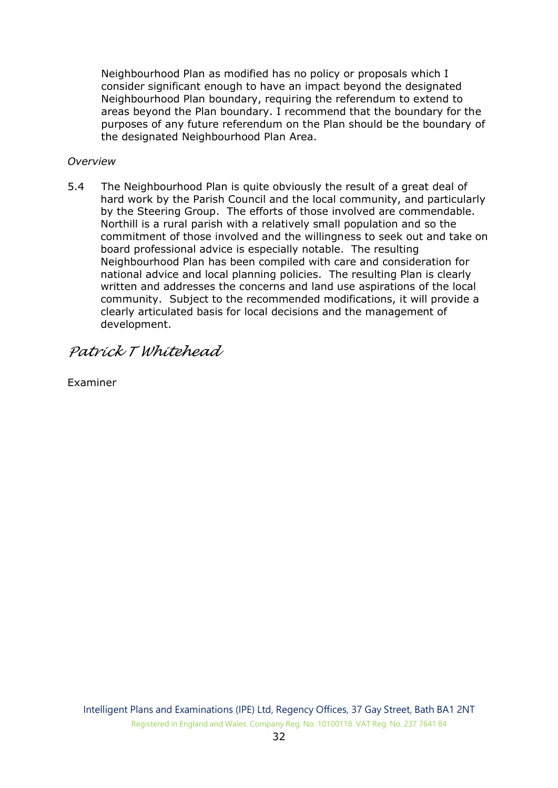Neighbourhood Plan as modified has no policy or proposals which I consider significant enough to have an impact beyond the designated Neighbourhood Plan boundary, requiring the referendum to extend to areas beyond the Plan boundary. I recommend that the boundary for the purposes of any future referendum on the Plan should be the boundary of the designated Neighbourhood Plan Area.

#### *Overview*

5.4 The Neighbourhood Plan is quite obviously the result of a great deal of hard work by the Parish Council and the local community, and particularly by the Steering Group. The efforts of those involved are commendable. Northill is a rural parish with a relatively small population and so the commitment of those involved and the willingness to seek out and take on board professional advice is especially notable. The resulting Neighbourhood Plan has been compiled with care and consideration for national advice and local planning policies. The resulting Plan is clearly written and addresses the concerns and land use aspirations of the local community. Subject to the recommended modifications, it will provide a clearly articulated basis for local decisions and the management of development.

*Patrick T Whitehead* 

Examiner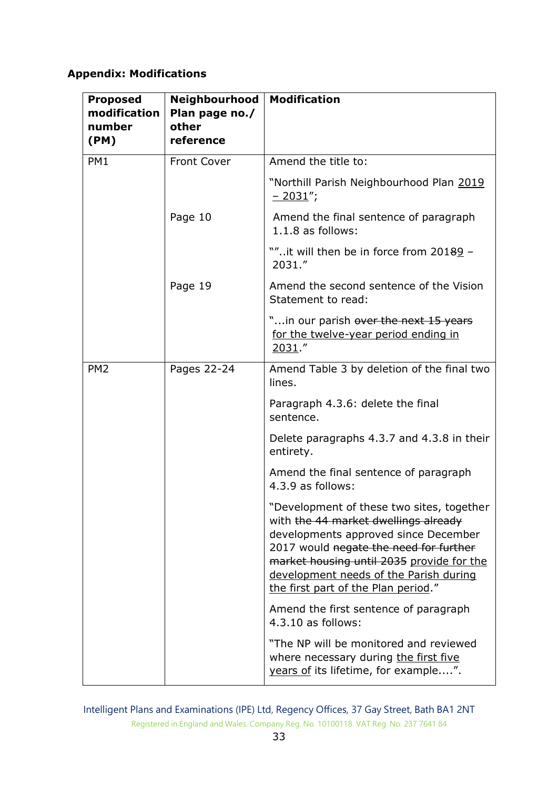## **Appendix: Modifications**

| <b>Proposed</b><br>modification<br>number<br>(PM) | Neighbourhood<br>Plan page no./<br>other<br>reference | <b>Modification</b>                                                                                                                                                                                                                                                                               |
|---------------------------------------------------|-------------------------------------------------------|---------------------------------------------------------------------------------------------------------------------------------------------------------------------------------------------------------------------------------------------------------------------------------------------------|
| PM1                                               | <b>Front Cover</b>                                    | Amend the title to:                                                                                                                                                                                                                                                                               |
|                                                   |                                                       | "Northill Parish Neighbourhood Plan 2019<br>$-2031$ ";                                                                                                                                                                                                                                            |
|                                                   | Page 10                                               | Amend the final sentence of paragraph<br>$1.1.8$ as follows:                                                                                                                                                                                                                                      |
|                                                   |                                                       | ""it will then be in force from 201 <del>8</del> 9 -<br>2031."                                                                                                                                                                                                                                    |
|                                                   | Page 19                                               | Amend the second sentence of the Vision<br>Statement to read:                                                                                                                                                                                                                                     |
|                                                   |                                                       | "in our parish over the next 15 years<br>for the twelve-year period ending in<br>2031."                                                                                                                                                                                                           |
| PM <sub>2</sub>                                   | Pages 22-24                                           | Amend Table 3 by deletion of the final two<br>lines.                                                                                                                                                                                                                                              |
|                                                   |                                                       | Paragraph 4.3.6: delete the final<br>sentence.                                                                                                                                                                                                                                                    |
|                                                   |                                                       | Delete paragraphs 4.3.7 and 4.3.8 in their<br>entirety.                                                                                                                                                                                                                                           |
|                                                   |                                                       | Amend the final sentence of paragraph<br>4.3.9 as follows:                                                                                                                                                                                                                                        |
|                                                   |                                                       | "Development of these two sites, together<br>with the 44 market dwellings already<br>developments approved since December<br>2017 would negate the need for further<br>market housing until 2035 provide for the<br>development needs of the Parish during<br>the first part of the Plan period." |
|                                                   |                                                       | Amend the first sentence of paragraph<br>4.3.10 as follows:                                                                                                                                                                                                                                       |
|                                                   |                                                       | "The NP will be monitored and reviewed<br>where necessary during the first five<br>years of its lifetime, for example".                                                                                                                                                                           |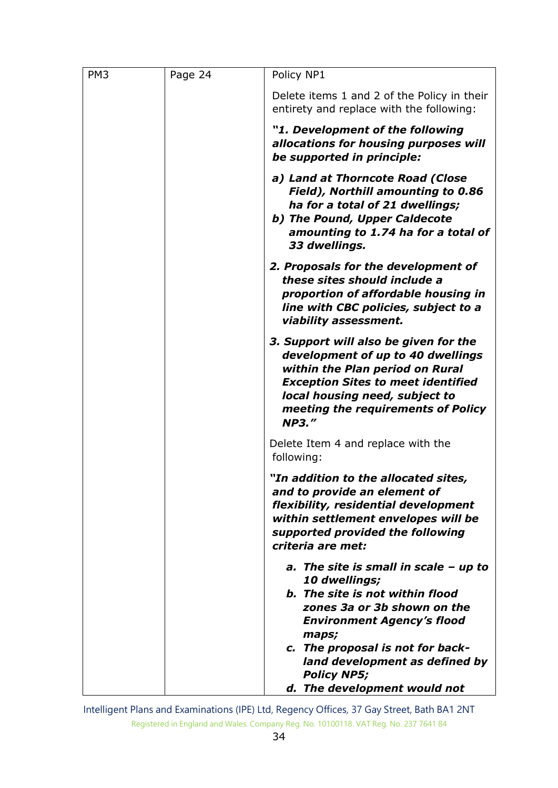| PM <sub>3</sub> | Page 24 | Policy NP1                                                                                                                                                                                                                                                                                                  |
|-----------------|---------|-------------------------------------------------------------------------------------------------------------------------------------------------------------------------------------------------------------------------------------------------------------------------------------------------------------|
|                 |         | Delete items 1 and 2 of the Policy in their<br>entirety and replace with the following:                                                                                                                                                                                                                     |
|                 |         | "1. Development of the following<br>allocations for housing purposes will<br>be supported in principle:                                                                                                                                                                                                     |
|                 |         | a) Land at Thorncote Road (Close<br>Field), Northill amounting to 0.86<br>ha for a total of 21 dwellings;<br>b) The Pound, Upper Caldecote<br>amounting to 1.74 ha for a total of<br>33 dwellings.                                                                                                          |
|                 |         | 2. Proposals for the development of<br>these sites should include a<br>proportion of affordable housing in<br>line with CBC policies, subject to a<br>viability assessment.                                                                                                                                 |
|                 |         | 3. Support will also be given for the<br>development of up to 40 dwellings<br>within the Plan period on Rural<br><b>Exception Sites to meet identified</b><br>local housing need, subject to<br>meeting the requirements of Policy<br><b>NP3."</b>                                                          |
|                 |         | Delete Item 4 and replace with the<br>following:                                                                                                                                                                                                                                                            |
|                 |         | "In addition to the allocated sites,<br>and to provide an element of<br>flexibility, residential development<br>within settlement envelopes will be<br>supported provided the following<br>criteria are met:                                                                                                |
|                 |         | a. The site is small in scale $-$ up to<br>10 dwellings;<br><b>b.</b> The site is not within flood<br>zones 3a or 3b shown on the<br><b>Environment Agency's flood</b><br>maps;<br>c. The proposal is not for back-<br>land development as defined by<br><b>Policy NP5;</b><br>d. The development would not |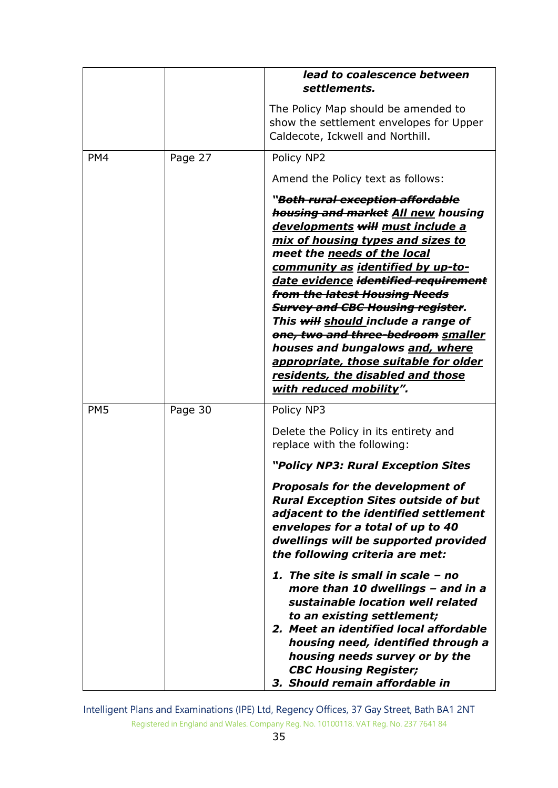|                 |         | lead to coalescence between<br>settlements.                                                                                                                                                                                                                                                                                                                                                                                                                                                                                                                                                                      |
|-----------------|---------|------------------------------------------------------------------------------------------------------------------------------------------------------------------------------------------------------------------------------------------------------------------------------------------------------------------------------------------------------------------------------------------------------------------------------------------------------------------------------------------------------------------------------------------------------------------------------------------------------------------|
|                 |         | The Policy Map should be amended to<br>show the settlement envelopes for Upper<br>Caldecote, Ickwell and Northill.                                                                                                                                                                                                                                                                                                                                                                                                                                                                                               |
| PM4             | Page 27 | Policy NP2                                                                                                                                                                                                                                                                                                                                                                                                                                                                                                                                                                                                       |
|                 |         | Amend the Policy text as follows:                                                                                                                                                                                                                                                                                                                                                                                                                                                                                                                                                                                |
|                 |         | " <del>Both rural exception affordable</del><br>housing and market All new housing<br>developments will must include a<br>mix of housing types and sizes to<br>meet the needs of the local<br>community as identified by up-to-<br>date evidence identified requirement<br><del>from the latest Housing Needs</del><br><b>Survey and CBC Housing register.</b><br>This will should include a range of<br><del>one, two and three-bedroom</del> smaller<br>houses and bungalows and, where<br>appropriate, those suitable for older<br><u>residents, the disabled and those</u><br><u>with reduced mobility".</u> |
| PM <sub>5</sub> | Page 30 | Policy NP3                                                                                                                                                                                                                                                                                                                                                                                                                                                                                                                                                                                                       |
|                 |         | Delete the Policy in its entirety and<br>replace with the following:                                                                                                                                                                                                                                                                                                                                                                                                                                                                                                                                             |
|                 |         | "Policy NP3: Rural Exception Sites                                                                                                                                                                                                                                                                                                                                                                                                                                                                                                                                                                               |
|                 |         | <b>Proposals for the development of</b><br><b>Rural Exception Sites outside of but</b><br>adjacent to the identified settlement<br>envelopes for a total of up to 40<br>dwellings will be supported provided<br>the following criteria are met:                                                                                                                                                                                                                                                                                                                                                                  |
|                 |         | 1. The site is small in scale - no<br>more than 10 dwellings - and in a<br>sustainable location well related<br>to an existing settlement;<br>2. Meet an identified local affordable<br>housing need, identified through a<br>housing needs survey or by the<br><b>CBC Housing Register;</b><br>3. Should remain affordable in                                                                                                                                                                                                                                                                                   |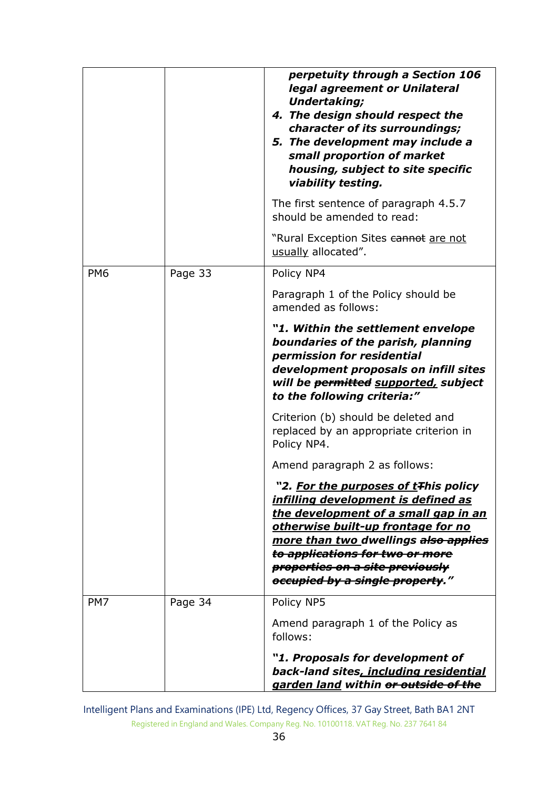|                 |         | perpetuity through a Section 106<br>legal agreement or Unilateral<br><b>Undertaking;</b><br>4. The design should respect the<br>character of its surroundings;<br>5. The development may include a<br>small proportion of market<br>housing, subject to site specific<br>viability testing.<br>The first sentence of paragraph 4.5.7<br>should be amended to read:<br>"Rural Exception Sites cannot are not<br>usually allocated". |
|-----------------|---------|------------------------------------------------------------------------------------------------------------------------------------------------------------------------------------------------------------------------------------------------------------------------------------------------------------------------------------------------------------------------------------------------------------------------------------|
| PM <sub>6</sub> | Page 33 | Policy NP4                                                                                                                                                                                                                                                                                                                                                                                                                         |
|                 |         | Paragraph 1 of the Policy should be<br>amended as follows:                                                                                                                                                                                                                                                                                                                                                                         |
|                 |         | "1. Within the settlement envelope<br>boundaries of the parish, planning<br>permission for residential<br>development proposals on infill sites<br>will be permitted supported, subject<br>to the following criteria:"<br>Criterion (b) should be deleted and<br>replaced by an appropriate criterion in<br>Policy NP4.                                                                                                            |
|                 |         | Amend paragraph 2 as follows:                                                                                                                                                                                                                                                                                                                                                                                                      |
|                 |         | 2. <u>For the purposes of t</u> ∓his policy<br><u>infilling development is defined as </u><br>the development of a small gap in an<br>otherwise built-up frontage for no<br>more than two dwellings also applies<br>to applications for two or more<br>properties on a site previously<br>occupied by a single property."                                                                                                          |
| PM7             | Page 34 | Policy NP5                                                                                                                                                                                                                                                                                                                                                                                                                         |
|                 |         | Amend paragraph 1 of the Policy as<br>follows:                                                                                                                                                                                                                                                                                                                                                                                     |
|                 |         | "1. Proposals for development of<br>back-land sites, including residential<br>garden land within or outside of the                                                                                                                                                                                                                                                                                                                 |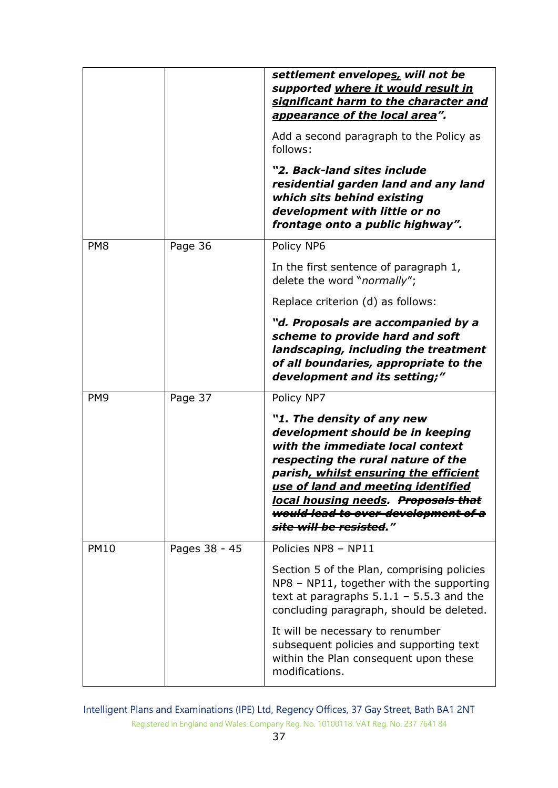|                 |               | settlement envelopes, will not be<br>supported where it would result in<br>significant harm to the character and<br>appearance of the local area".                                                                                                                                                                               |
|-----------------|---------------|----------------------------------------------------------------------------------------------------------------------------------------------------------------------------------------------------------------------------------------------------------------------------------------------------------------------------------|
|                 |               | Add a second paragraph to the Policy as<br>follows:                                                                                                                                                                                                                                                                              |
|                 |               | "2. Back-land sites include<br>residential garden land and any land<br>which sits behind existing<br>development with little or no<br>frontage onto a public highway".                                                                                                                                                           |
| PM <sub>8</sub> | Page 36       | Policy NP6                                                                                                                                                                                                                                                                                                                       |
|                 |               | In the first sentence of paragraph 1,<br>delete the word "normally";                                                                                                                                                                                                                                                             |
|                 |               | Replace criterion (d) as follows:                                                                                                                                                                                                                                                                                                |
|                 |               | "d. Proposals are accompanied by a<br>scheme to provide hard and soft<br>landscaping, including the treatment<br>of all boundaries, appropriate to the<br>development and its setting;"                                                                                                                                          |
| PM <sub>9</sub> | Page 37       | Policy NP7                                                                                                                                                                                                                                                                                                                       |
|                 |               | "1. The density of any new<br>development should be in keeping<br>with the immediate local context<br>respecting the rural nature of the<br>parish, whilst ensuring the efficient<br>use of land and meeting identified<br>local housing needs. Proposals that<br>would lead to over development of a<br>site will be resisted." |
| <b>PM10</b>     | Pages 38 - 45 | Policies NP8 - NP11                                                                                                                                                                                                                                                                                                              |
|                 |               | Section 5 of the Plan, comprising policies<br>NP8 - NP11, together with the supporting<br>text at paragraphs $5.1.1 - 5.5.3$ and the<br>concluding paragraph, should be deleted.                                                                                                                                                 |
|                 |               | It will be necessary to renumber<br>subsequent policies and supporting text<br>within the Plan consequent upon these<br>modifications.                                                                                                                                                                                           |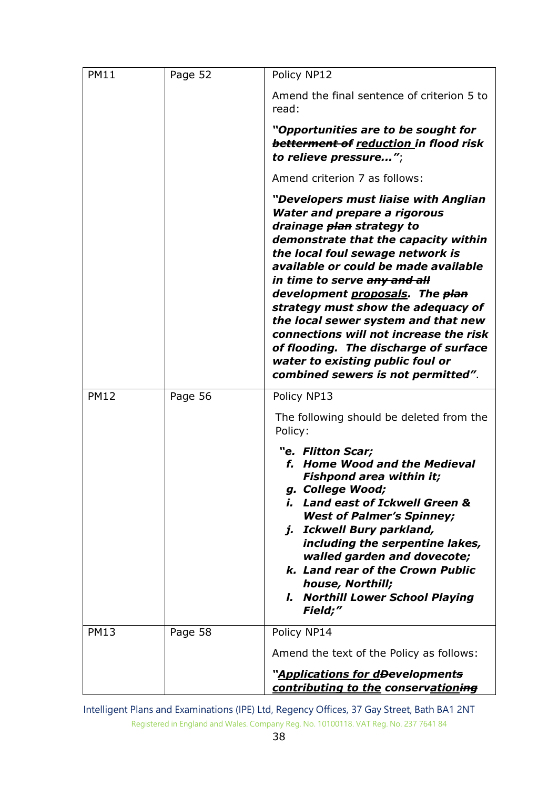| <b>PM11</b> | Page 52 | Policy NP12                                                                                                                                                                                                                                                                                                                                                                                                                                                                                                                                          |
|-------------|---------|------------------------------------------------------------------------------------------------------------------------------------------------------------------------------------------------------------------------------------------------------------------------------------------------------------------------------------------------------------------------------------------------------------------------------------------------------------------------------------------------------------------------------------------------------|
|             |         | Amend the final sentence of criterion 5 to<br>read:                                                                                                                                                                                                                                                                                                                                                                                                                                                                                                  |
|             |         | "Opportunities are to be sought for<br>betterment of reduction in flood risk<br>to relieve pressure";                                                                                                                                                                                                                                                                                                                                                                                                                                                |
|             |         | Amend criterion 7 as follows:                                                                                                                                                                                                                                                                                                                                                                                                                                                                                                                        |
|             |         | "Developers must liaise with Anglian<br><b>Water and prepare a rigorous</b><br>drainage <del>plan</del> strategy to<br>demonstrate that the capacity within<br>the local foul sewage network is<br>available or could be made available<br>in time to serve any and all<br>development proposals. The plan<br>strategy must show the adequacy of<br>the local sewer system and that new<br>connections will not increase the risk<br>of flooding. The discharge of surface<br>water to existing public foul or<br>combined sewers is not permitted". |
| <b>PM12</b> | Page 56 | Policy NP13                                                                                                                                                                                                                                                                                                                                                                                                                                                                                                                                          |
|             |         | The following should be deleted from the<br>Policy:                                                                                                                                                                                                                                                                                                                                                                                                                                                                                                  |
|             |         | "e. Flitton Scar;<br>f. Home Wood and the Medieval<br><b>Fishpond area within it;</b><br>g. College Wood;<br>i. Land east of Ickwell Green &<br><b>West of Palmer's Spinney;</b><br>j. Ickwell Bury parkland,<br>including the serpentine lakes,<br>walled garden and dovecote;<br>k. Land rear of the Crown Public<br>house, Northill;<br><b>I. Northill Lower School Playing</b><br>Field;"                                                                                                                                                        |
| <b>PM13</b> | Page 58 | Policy NP14                                                                                                                                                                                                                                                                                                                                                                                                                                                                                                                                          |
|             |         | Amend the text of the Policy as follows:                                                                                                                                                                                                                                                                                                                                                                                                                                                                                                             |
|             |         | "Applications for d <del>D</del> evelopment <del>s</del><br>contributing to the conservationing                                                                                                                                                                                                                                                                                                                                                                                                                                                      |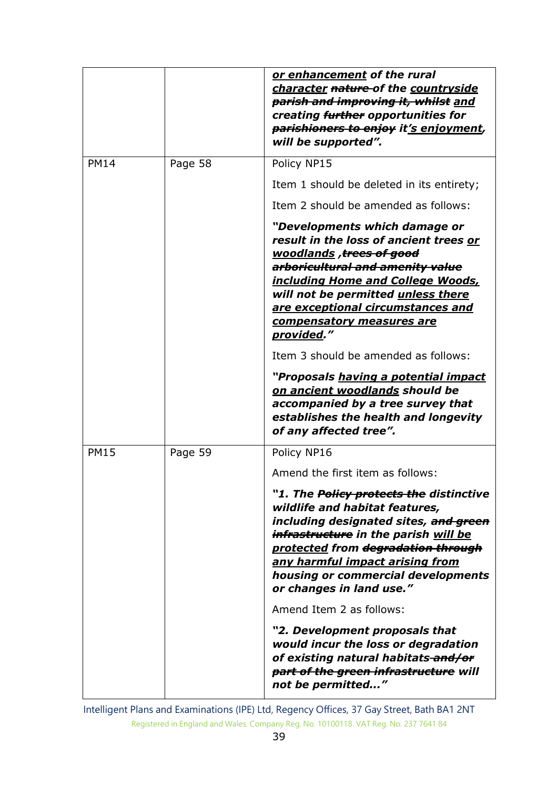|             |         | or enhancement of the rural<br>character nature-of the countryside<br>parish and improving it, whilst and<br>creating further opportunities for<br>parishioners to enjoy it's enjoyment,<br>will be supported".                                                                                                  |
|-------------|---------|------------------------------------------------------------------------------------------------------------------------------------------------------------------------------------------------------------------------------------------------------------------------------------------------------------------|
| <b>PM14</b> | Page 58 | Policy NP15                                                                                                                                                                                                                                                                                                      |
|             |         | Item 1 should be deleted in its entirety;                                                                                                                                                                                                                                                                        |
|             |         | Item 2 should be amended as follows:                                                                                                                                                                                                                                                                             |
|             |         | "Developments which damage or<br>result in the loss of ancient trees or<br>woodlands, trees of good<br>arboricultural and amenity value<br><u>including Home and College Woods,</u><br>will not be permitted unless there<br>are exceptional circumstances and<br>compensatory measures are<br>provided."        |
|             |         | Item 3 should be amended as follows:                                                                                                                                                                                                                                                                             |
|             |         | "Proposals having a potential impact<br>on ancient woodlands should be<br>accompanied by a tree survey that<br>establishes the health and longevity<br>of any affected tree".                                                                                                                                    |
| <b>PM15</b> | Page 59 | Policy NP16                                                                                                                                                                                                                                                                                                      |
|             |         | Amend the first item as follows:                                                                                                                                                                                                                                                                                 |
|             |         | "1. The <del>Policy protects the</del> distinctive<br>wildlife and habitat features,<br>including designated sites, and green<br>infrastructure in the parish will be<br>protected from degradation through<br>any harmful impact arising from<br>housing or commercial developments<br>or changes in land use." |
|             |         | Amend Item 2 as follows:                                                                                                                                                                                                                                                                                         |
|             |         | "2. Development proposals that<br>would incur the loss or degradation<br>of existing natural habitats-and/or<br>part of the green infrastructure will<br>not be permitted"                                                                                                                                       |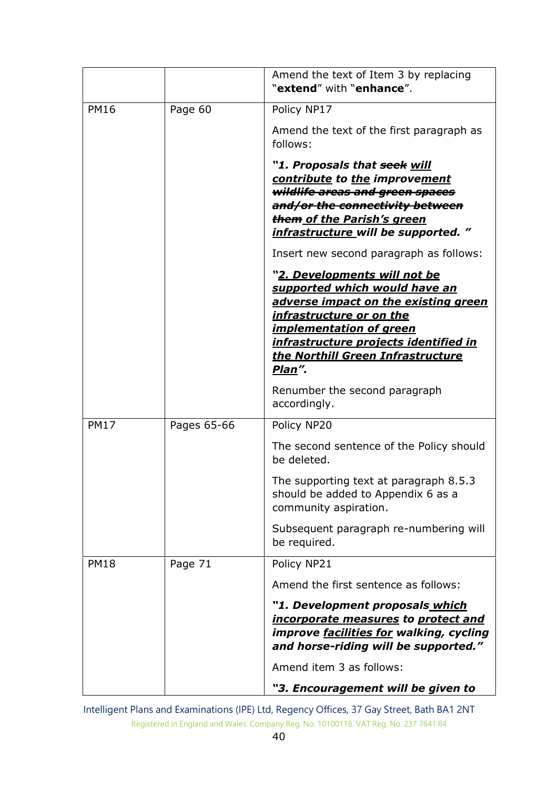|             |             | Amend the text of Item 3 by replacing<br>"extend" with "enhance".                                                                                                                                                                                                                         |
|-------------|-------------|-------------------------------------------------------------------------------------------------------------------------------------------------------------------------------------------------------------------------------------------------------------------------------------------|
| <b>PM16</b> | Page 60     | Policy NP17                                                                                                                                                                                                                                                                               |
|             |             | Amend the text of the first paragraph as<br>follows:                                                                                                                                                                                                                                      |
|             |             | "1. Proposals that seek will<br>contribute to the improvement<br>wildlife areas and green spaces                                                                                                                                                                                          |
|             |             | and/or the connectivity between                                                                                                                                                                                                                                                           |
|             |             | them of the Parish's green<br>infrastructure will be supported."                                                                                                                                                                                                                          |
|             |             | Insert new second paragraph as follows:                                                                                                                                                                                                                                                   |
|             |             | " <u>2. Developments will not be</u><br>supported which would have an<br>adverse impact on the existing green<br><u>infrastructure or on the </u><br><i><b>implementation of green</b></i><br><u>infrastructure projects identified in</u><br>the Northill Green Infrastructure<br>Plan". |
|             |             | Renumber the second paragraph<br>accordingly.                                                                                                                                                                                                                                             |
| <b>PM17</b> | Pages 65-66 | Policy NP20                                                                                                                                                                                                                                                                               |
|             |             | The second sentence of the Policy should<br>be deleted.                                                                                                                                                                                                                                   |
|             |             | The supporting text at paragraph 8.5.3<br>should be added to Appendix 6 as a<br>community aspiration.                                                                                                                                                                                     |
|             |             | Subsequent paragraph re-numbering will<br>be required.                                                                                                                                                                                                                                    |
| <b>PM18</b> | Page 71     | Policy NP21                                                                                                                                                                                                                                                                               |
|             |             | Amend the first sentence as follows:                                                                                                                                                                                                                                                      |
|             |             | "1. Development proposals which<br>incorporate measures to protect and<br>improve <b>facilities for</b> walking, cycling<br>and horse-riding will be supported."                                                                                                                          |
|             |             | Amend item 3 as follows:                                                                                                                                                                                                                                                                  |
|             |             | "3. Encouragement will be given to                                                                                                                                                                                                                                                        |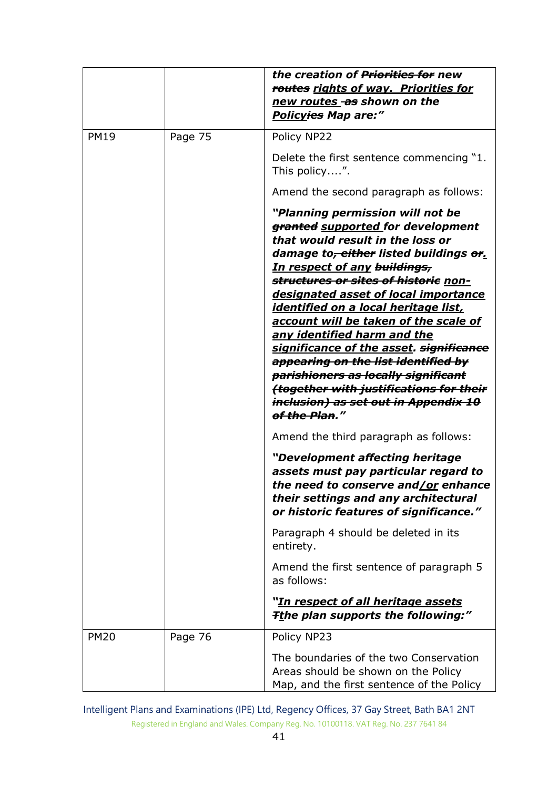|             |         | the creation of <del>Priorities for</del> new<br>routes rights of way. Priorities for<br>new routes as shown on the<br>Policy <del>ies</del> Map are:"                                                                                                                                                                                                                                                                                                                                                                                                                                                                                         |
|-------------|---------|------------------------------------------------------------------------------------------------------------------------------------------------------------------------------------------------------------------------------------------------------------------------------------------------------------------------------------------------------------------------------------------------------------------------------------------------------------------------------------------------------------------------------------------------------------------------------------------------------------------------------------------------|
| <b>PM19</b> | Page 75 | Policy NP22                                                                                                                                                                                                                                                                                                                                                                                                                                                                                                                                                                                                                                    |
|             |         | Delete the first sentence commencing "1.<br>This policy".                                                                                                                                                                                                                                                                                                                                                                                                                                                                                                                                                                                      |
|             |         | Amend the second paragraph as follows:                                                                                                                                                                                                                                                                                                                                                                                                                                                                                                                                                                                                         |
|             |         | "Planning permission will not be<br>granted supported for development<br>that would result in the loss or<br>damage to <del>, either</del> listed buildings or.<br>In respect of any buildings,<br>structures or sites of historie non-<br>designated asset of local importance<br><u>identified on a local heritage list, </u><br>account will be taken of the scale of<br>any identified harm and the<br>significance of the asset. significance<br>appearing on the list identified by<br>parishioners as locally significant<br>together with justifications for their<br><del>inclusion) as set out in Appendix 10</del><br>of the Plan." |
|             |         | Amend the third paragraph as follows:                                                                                                                                                                                                                                                                                                                                                                                                                                                                                                                                                                                                          |
|             |         | "Development affecting heritage<br>assets must pay particular regard to<br>the need to conserve and/or enhance<br>their settings and any architectural<br>or historic features of significance."                                                                                                                                                                                                                                                                                                                                                                                                                                               |
|             |         | Paragraph 4 should be deleted in its<br>entirety.                                                                                                                                                                                                                                                                                                                                                                                                                                                                                                                                                                                              |
|             |         | Amend the first sentence of paragraph 5<br>as follows:                                                                                                                                                                                                                                                                                                                                                                                                                                                                                                                                                                                         |
|             |         | " <u>In respect of all heritage assets</u><br><b>Tthe plan supports the following:"</b>                                                                                                                                                                                                                                                                                                                                                                                                                                                                                                                                                        |
| <b>PM20</b> | Page 76 | Policy NP23                                                                                                                                                                                                                                                                                                                                                                                                                                                                                                                                                                                                                                    |
|             |         | The boundaries of the two Conservation<br>Areas should be shown on the Policy<br>Map, and the first sentence of the Policy                                                                                                                                                                                                                                                                                                                                                                                                                                                                                                                     |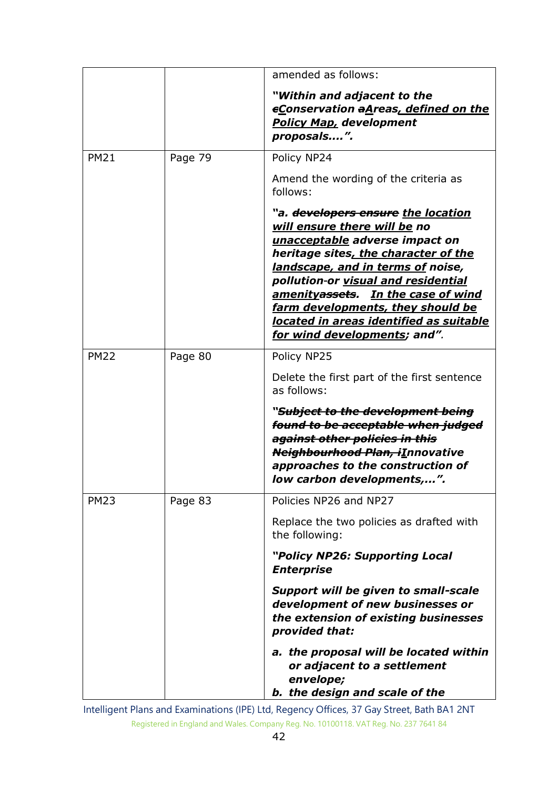|             |         | amended as follows:                                                                                                                                                                                                                                                                                                                                                                                      |
|-------------|---------|----------------------------------------------------------------------------------------------------------------------------------------------------------------------------------------------------------------------------------------------------------------------------------------------------------------------------------------------------------------------------------------------------------|
|             |         | "Within and adjacent to the<br><b>eConservation aAreas, defined on the</b><br><b>Policy Map, development</b><br>proposals".                                                                                                                                                                                                                                                                              |
| <b>PM21</b> | Page 79 | Policy NP24                                                                                                                                                                                                                                                                                                                                                                                              |
|             |         | Amend the wording of the criteria as<br>follows:                                                                                                                                                                                                                                                                                                                                                         |
|             |         | "a. <del>developers ensure</del> <u>the location</u><br>will ensure there will be no<br>unacceptable adverse impact on<br>heritage sites, the character of the<br>landscape, and in terms of noise,<br>pollution-or visual and residential<br>amenityassets. In the case of wind<br>farm developments, they should be<br>located in areas identified as suitable<br><u>for wind developments</u> ; and". |
| <b>PM22</b> | Page 80 | Policy NP25                                                                                                                                                                                                                                                                                                                                                                                              |
|             |         | Delete the first part of the first sentence<br>as follows:                                                                                                                                                                                                                                                                                                                                               |
|             |         | " <del>Subject to the development being</del><br>found to be acceptable when judged<br>against other policies in this<br>Neighbourhood Plan, iInnovative<br>approaches to the construction of<br>low carbon developments,".                                                                                                                                                                              |
| <b>PM23</b> | Page 83 | Policies NP26 and NP27                                                                                                                                                                                                                                                                                                                                                                                   |
|             |         | Replace the two policies as drafted with<br>the following:                                                                                                                                                                                                                                                                                                                                               |
|             |         | "Policy NP26: Supporting Local<br><b>Enterprise</b>                                                                                                                                                                                                                                                                                                                                                      |
|             |         | <b>Support will be given to small-scale</b><br>development of new businesses or<br>the extension of existing businesses<br>provided that:                                                                                                                                                                                                                                                                |
|             |         | a. the proposal will be located within<br>or adjacent to a settlement<br>envelope;<br>b. the design and scale of the                                                                                                                                                                                                                                                                                     |